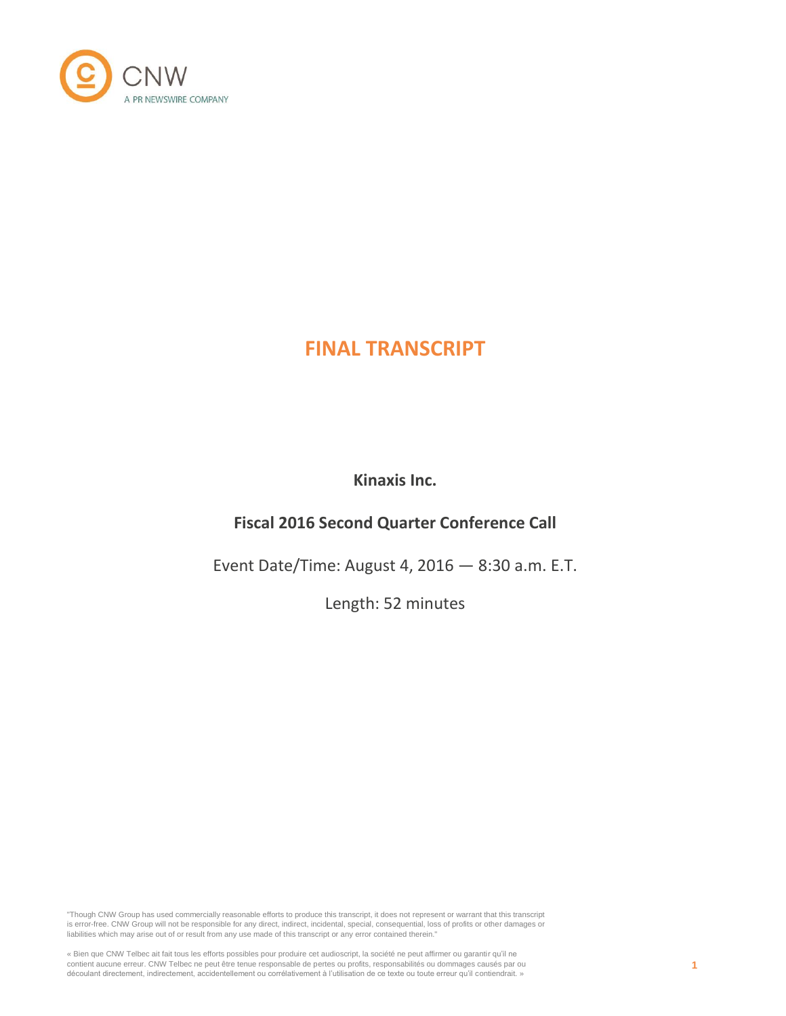

# **FINAL TRANSCRIPT**

**Kinaxis Inc.**

# **Fiscal 2016 Second Quarter Conference Call**

Event Date/Time: August 4, 2016 — 8:30 a.m. E.T.

Length: 52 minutes

"Though CNW Group has used commercially reasonable efforts to produce this transcript, it does not represent or warrant that this transcript is error-free. CNW Group will not be responsible for any direct, indirect, incidental, special, consequential, loss of profits or other damages or liabilities which may arise out of or result from any use made of this transcript or any error contained therein."

« Bien que CNW Telbec ait fait tous les efforts possibles pour produire cet audioscript, la société ne peut affirmer ou garantir qu'il ne contient aucune erreur. CNW Telbec ne peut être tenue responsable de pertes ou profits, responsabilités ou dommages causés par ou découlant directement, indirectement, accidentellement ou corrélativement à l'utilisation de ce texte ou toute erreur qu'il contiendrait. »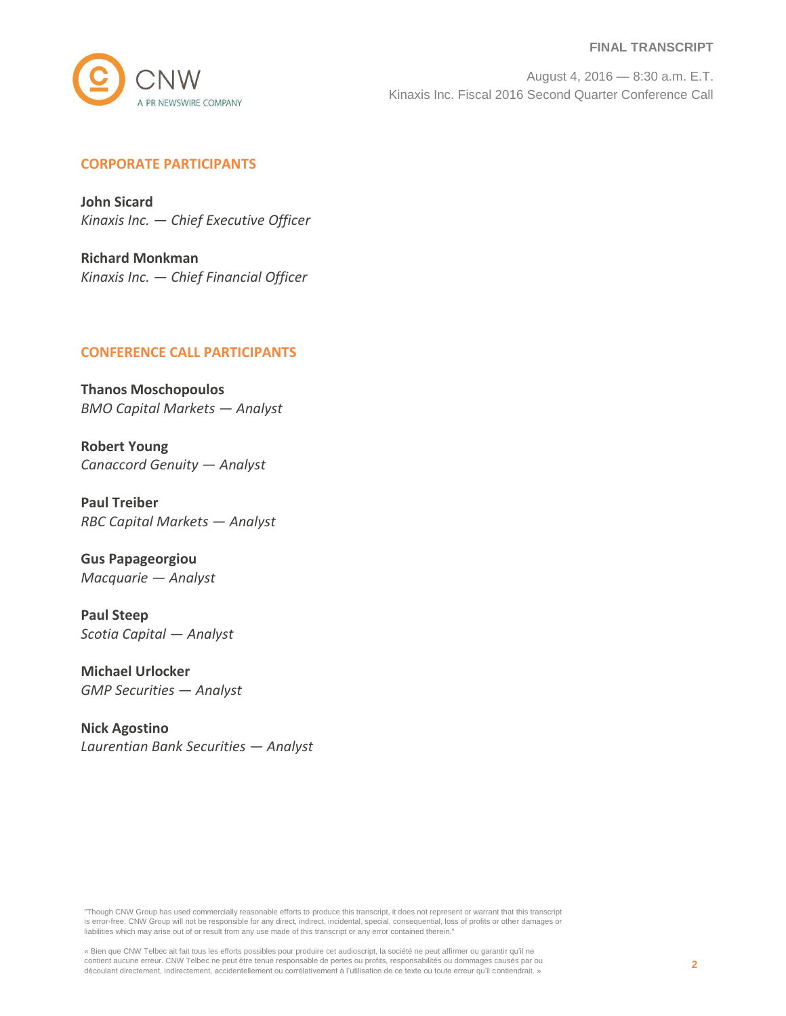#### **FINAL TRANSCRIPT**



August 4, 2016 — 8:30 a.m. E.T. Kinaxis Inc. Fiscal 2016 Second Quarter Conference Call

# **CORPORATE PARTICIPANTS**

**John Sicard** *Kinaxis Inc. — Chief Executive Officer*

**Richard Monkman** *Kinaxis Inc. — Chief Financial Officer*

## **CONFERENCE CALL PARTICIPANTS**

**Thanos Moschopoulos** *BMO Capital Markets — Analyst*

**Robert Young** *Canaccord Genuity — Analyst*

**Paul Treiber** *RBC Capital Markets — Analyst*

**Gus Papageorgiou** *Macquarie — Analyst*

**Paul Steep** *Scotia Capital — Analyst*

**Michael Urlocker** *GMP Securities — Analyst*

**Nick Agostino** *Laurentian Bank Securities — Analyst*

"Though CNW Group has used commercially reasonable efforts to produce this transcript, it does not represent or warrant that this transcript is error-free. CNW Group will not be responsible for any direct, indirect, incidental, special, consequential, loss of profits or other damages or liabilities which may arise out of or result from any use made of this transcript or any error contained therein."

« Bien que CNW Telbec ait fait tous les efforts possibles pour produire cet audioscript, la société ne peut affirmer ou garantir qu'il ne contient aucune erreur. CNW Telbec ne peut être tenue responsable de pertes ou profits, responsabilités ou dommages causés par ou découlant directement, indirectement, accidentellement ou corrélativement à l'utilisation de ce texte ou toute erreur qu'il contiendrait. »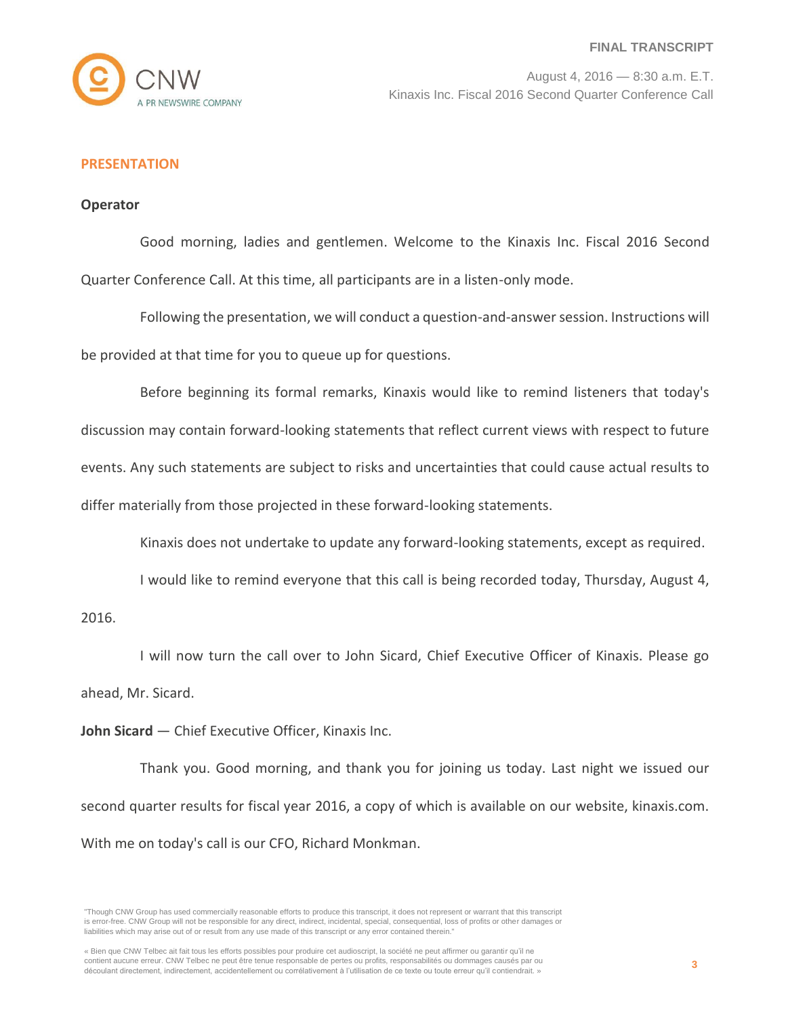

# **PRESENTATION**

## **Operator**

Good morning, ladies and gentlemen. Welcome to the Kinaxis Inc. Fiscal 2016 Second Quarter Conference Call. At this time, all participants are in a listen-only mode.

Following the presentation, we will conduct a question-and-answer session. Instructions will be provided at that time for you to queue up for questions.

Before beginning its formal remarks, Kinaxis would like to remind listeners that today's discussion may contain forward-looking statements that reflect current views with respect to future events. Any such statements are subject to risks and uncertainties that could cause actual results to differ materially from those projected in these forward-looking statements.

Kinaxis does not undertake to update any forward-looking statements, except as required.

I would like to remind everyone that this call is being recorded today, Thursday, August 4,

2016.

I will now turn the call over to John Sicard, Chief Executive Officer of Kinaxis. Please go ahead, Mr. Sicard.

**John Sicard** — Chief Executive Officer, Kinaxis Inc.

Thank you. Good morning, and thank you for joining us today. Last night we issued our second quarter results for fiscal year 2016, a copy of which is available on our website, kinaxis.com. With me on today's call is our CFO, Richard Monkman.

<sup>&</sup>quot;Though CNW Group has used commercially reasonable efforts to produce this transcript, it does not represent or warrant that this transcript is error-free. CNW Group will not be responsible for any direct, indirect, incidental, special, consequential, loss of profits or other damages or liabilities which may arise out of or result from any use made of this transcript or any error contained therein."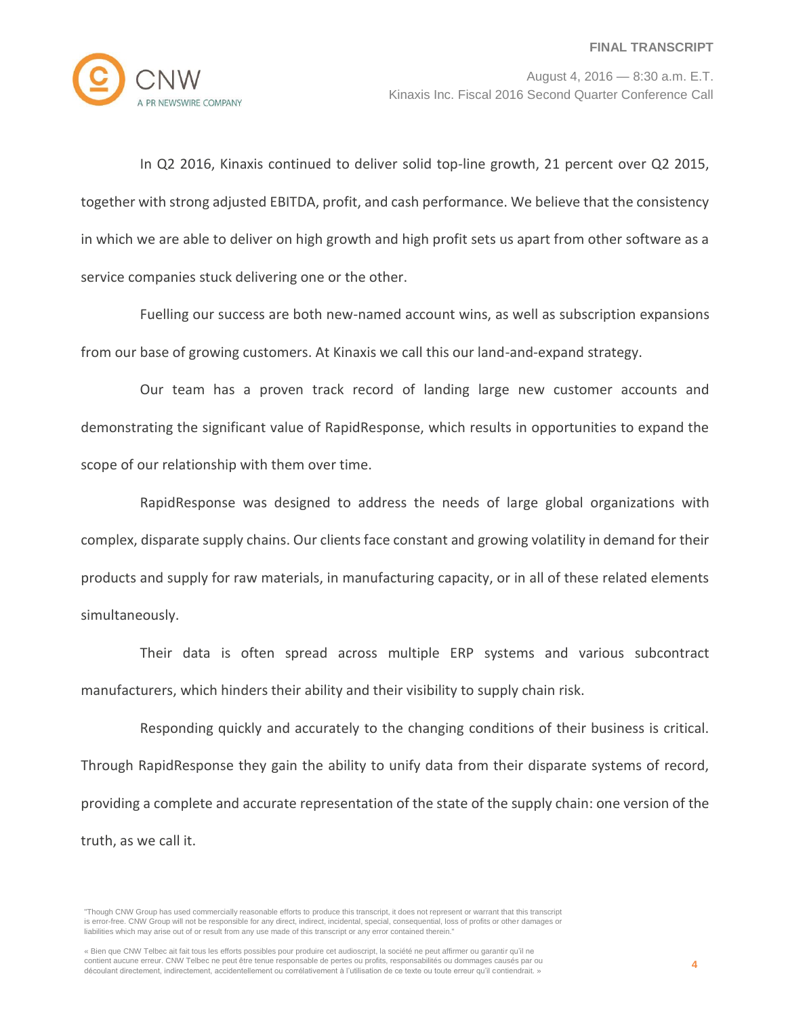

In Q2 2016, Kinaxis continued to deliver solid top-line growth, 21 percent over Q2 2015, together with strong adjusted EBITDA, profit, and cash performance. We believe that the consistency in which we are able to deliver on high growth and high profit sets us apart from other software as a service companies stuck delivering one or the other.

Fuelling our success are both new-named account wins, as well as subscription expansions from our base of growing customers. At Kinaxis we call this our land-and-expand strategy.

Our team has a proven track record of landing large new customer accounts and demonstrating the significant value of RapidResponse, which results in opportunities to expand the scope of our relationship with them over time.

RapidResponse was designed to address the needs of large global organizations with complex, disparate supply chains. Our clients face constant and growing volatility in demand for their products and supply for raw materials, in manufacturing capacity, or in all of these related elements simultaneously.

Their data is often spread across multiple ERP systems and various subcontract manufacturers, which hinders their ability and their visibility to supply chain risk.

Responding quickly and accurately to the changing conditions of their business is critical. Through RapidResponse they gain the ability to unify data from their disparate systems of record, providing a complete and accurate representation of the state of the supply chain: one version of the truth, as we call it.

<sup>&</sup>quot;Though CNW Group has used commercially reasonable efforts to produce this transcript, it does not represent or warrant that this transcript is error-free. CNW Group will not be responsible for any direct, indirect, incidental, special, consequential, loss of profits or other damages or liabilities which may arise out of or result from any use made of this transcript or any error contained therein."

<sup>«</sup> Bien que CNW Telbec ait fait tous les efforts possibles pour produire cet audioscript, la société ne peut affirmer ou garantir qu'il ne contient aucune erreur. CNW Telbec ne peut être tenue responsable de pertes ou profits, responsabilités ou dommages causés par ou découlant directement, indirectement, accidentellement ou corrélativement à l'utilisation de ce texte ou toute erreur qu'il contiendrait. »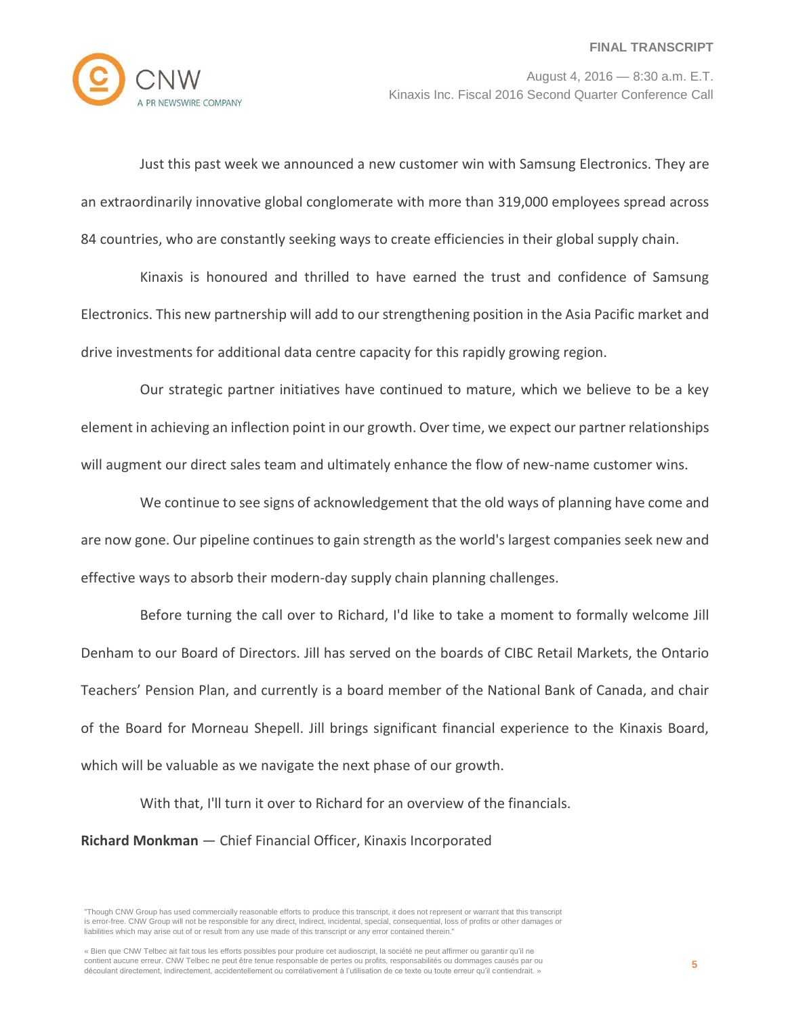

Just this past week we announced a new customer win with Samsung Electronics. They are an extraordinarily innovative global conglomerate with more than 319,000 employees spread across 84 countries, who are constantly seeking ways to create efficiencies in their global supply chain.

Kinaxis is honoured and thrilled to have earned the trust and confidence of Samsung Electronics. This new partnership will add to our strengthening position in the Asia Pacific market and drive investments for additional data centre capacity for this rapidly growing region.

Our strategic partner initiatives have continued to mature, which we believe to be a key element in achieving an inflection point in our growth. Over time, we expect our partner relationships will augment our direct sales team and ultimately enhance the flow of new-name customer wins.

We continue to see signs of acknowledgement that the old ways of planning have come and are now gone. Our pipeline continues to gain strength as the world's largest companies seek new and effective ways to absorb their modern-day supply chain planning challenges.

Before turning the call over to Richard, I'd like to take a moment to formally welcome Jill Denham to our Board of Directors. Jill has served on the boards of CIBC Retail Markets, the Ontario Teachers' Pension Plan, and currently is a board member of the National Bank of Canada, and chair of the Board for Morneau Shepell. Jill brings significant financial experience to the Kinaxis Board, which will be valuable as we navigate the next phase of our growth.

With that, I'll turn it over to Richard for an overview of the financials.

**Richard Monkman** — Chief Financial Officer, Kinaxis Incorporated

« Bien que CNW Telbec ait fait tous les efforts possibles pour produire cet audioscript, la société ne peut affirmer ou garantir qu'il ne contient aucune erreur. CNW Telbec ne peut être tenue responsable de pertes ou profits, responsabilités ou dommages causés par ou découlant directement, indirectement, accidentellement ou corrélativement à l'utilisation de ce texte ou toute erreur qu'il contiendrait. »

<sup>&</sup>quot;Though CNW Group has used commercially reasonable efforts to produce this transcript, it does not represent or warrant that this transcript is error-free. CNW Group will not be responsible for any direct, indirect, incidental, special, consequential, loss of profits or other damages or liabilities which may arise out of or result from any use made of this transcript or any error contained therein."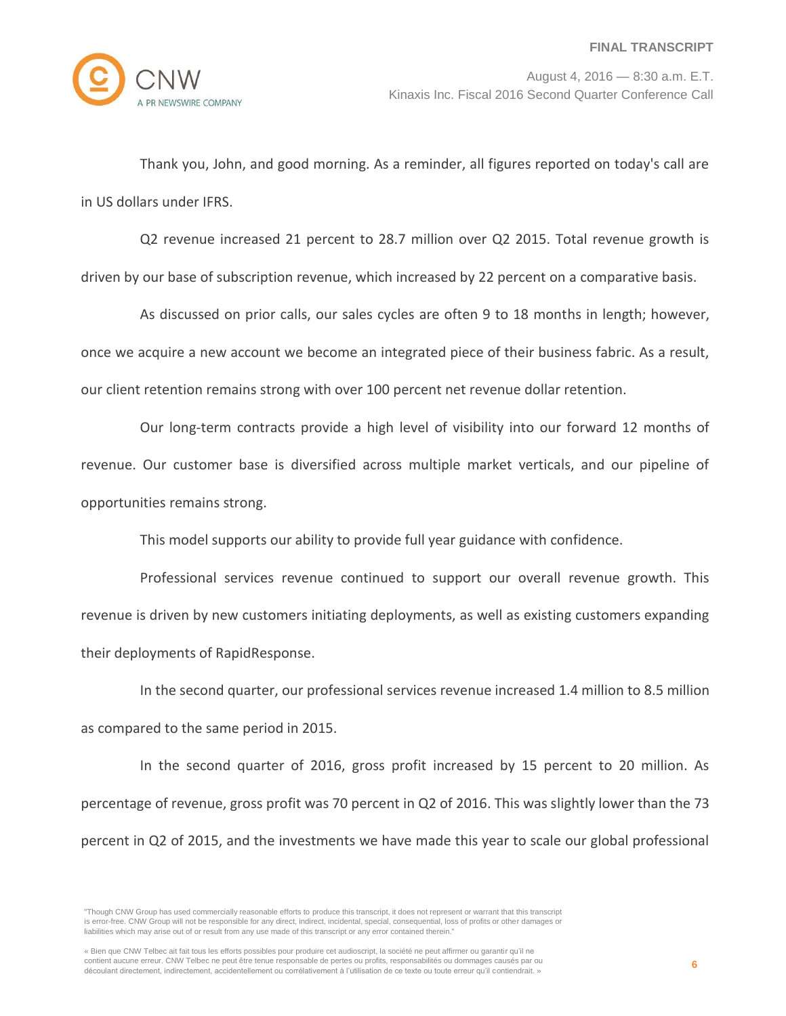

Thank you, John, and good morning. As a reminder, all figures reported on today's call are in US dollars under IFRS.

Q2 revenue increased 21 percent to 28.7 million over Q2 2015. Total revenue growth is driven by our base of subscription revenue, which increased by 22 percent on a comparative basis.

As discussed on prior calls, our sales cycles are often 9 to 18 months in length; however, once we acquire a new account we become an integrated piece of their business fabric. As a result, our client retention remains strong with over 100 percent net revenue dollar retention.

Our long-term contracts provide a high level of visibility into our forward 12 months of revenue. Our customer base is diversified across multiple market verticals, and our pipeline of opportunities remains strong.

This model supports our ability to provide full year guidance with confidence.

Professional services revenue continued to support our overall revenue growth. This revenue is driven by new customers initiating deployments, as well as existing customers expanding their deployments of RapidResponse.

In the second quarter, our professional services revenue increased 1.4 million to 8.5 million as compared to the same period in 2015.

In the second quarter of 2016, gross profit increased by 15 percent to 20 million. As percentage of revenue, gross profit was 70 percent in Q2 of 2016. This was slightly lower than the 73 percent in Q2 of 2015, and the investments we have made this year to scale our global professional

<sup>&</sup>quot;Though CNW Group has used commercially reasonable efforts to produce this transcript, it does not represent or warrant that this transcript is error-free. CNW Group will not be responsible for any direct, indirect, incidental, special, consequential, loss of profits or other damages or liabilities which may arise out of or result from any use made of this transcript or any error contained therein."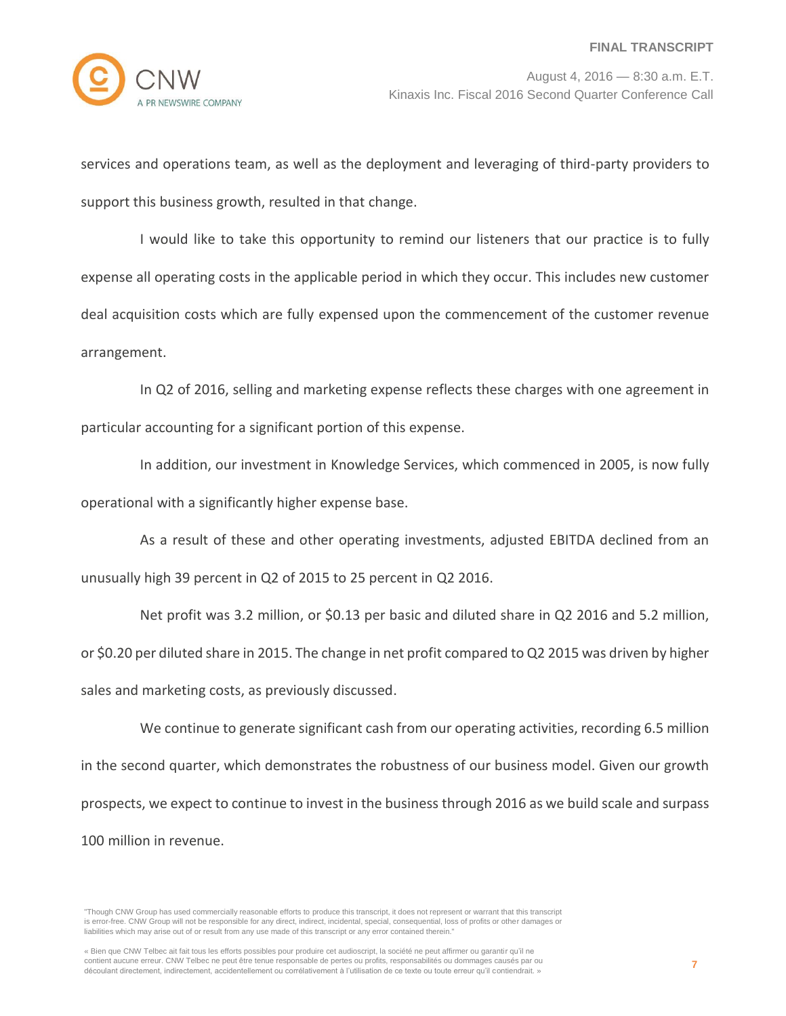services and operations team, as well as the deployment and leveraging of third-party providers to support this business growth, resulted in that change.

I would like to take this opportunity to remind our listeners that our practice is to fully expense all operating costs in the applicable period in which they occur. This includes new customer deal acquisition costs which are fully expensed upon the commencement of the customer revenue arrangement.

In Q2 of 2016, selling and marketing expense reflects these charges with one agreement in particular accounting for a significant portion of this expense.

In addition, our investment in Knowledge Services, which commenced in 2005, is now fully operational with a significantly higher expense base.

As a result of these and other operating investments, adjusted EBITDA declined from an unusually high 39 percent in Q2 of 2015 to 25 percent in Q2 2016.

Net profit was 3.2 million, or \$0.13 per basic and diluted share in Q2 2016 and 5.2 million, or \$0.20 per diluted share in 2015. The change in net profit compared to Q2 2015 was driven by higher sales and marketing costs, as previously discussed.

We continue to generate significant cash from our operating activities, recording 6.5 million in the second quarter, which demonstrates the robustness of our business model. Given our growth prospects, we expect to continue to invest in the business through 2016 as we build scale and surpass 100 million in revenue.

"Though CNW Group has used commercially reasonable efforts to produce this transcript, it does not represent or warrant that this transcript is error-free. CNW Group will not be responsible for any direct, indirect, incidental, special, consequential, loss of profits or other damages or liabilities which may arise out of or result from any use made of this transcript or any error contained therein."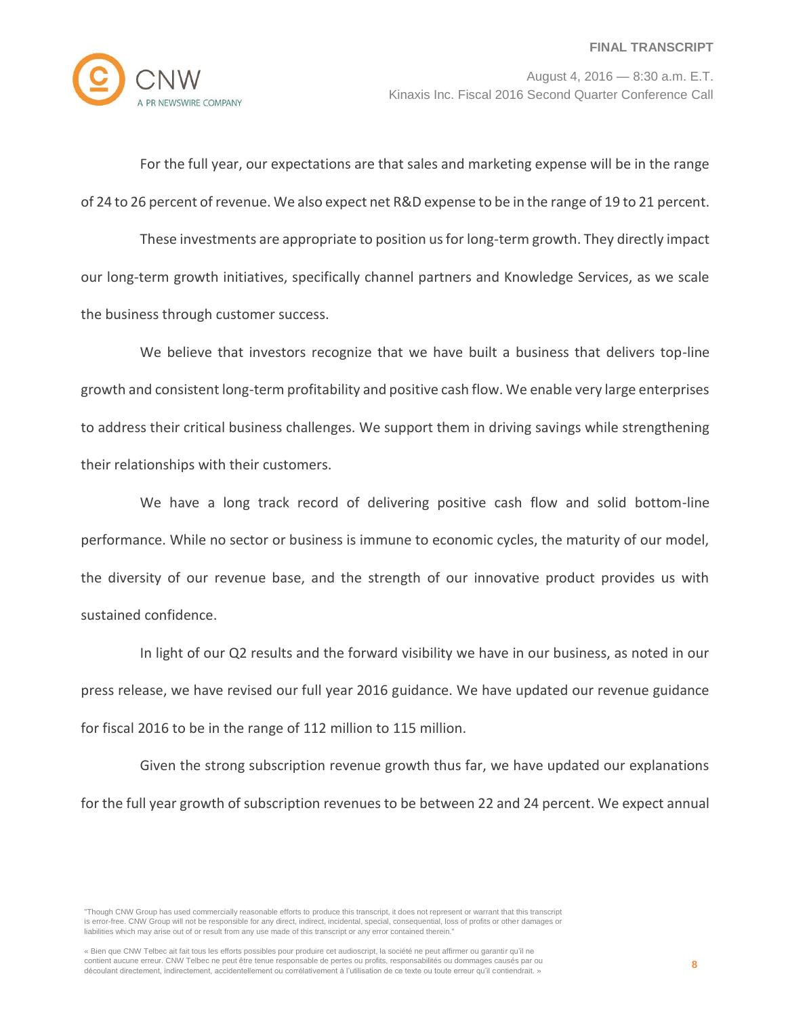

For the full year, our expectations are that sales and marketing expense will be in the range of 24 to 26 percent of revenue. We also expect net R&D expense to be in the range of 19 to 21 percent.

These investments are appropriate to position us for long-term growth. They directly impact our long-term growth initiatives, specifically channel partners and Knowledge Services, as we scale the business through customer success.

We believe that investors recognize that we have built a business that delivers top-line growth and consistent long-term profitability and positive cash flow. We enable very large enterprises to address their critical business challenges. We support them in driving savings while strengthening their relationships with their customers.

We have a long track record of delivering positive cash flow and solid bottom-line performance. While no sector or business is immune to economic cycles, the maturity of our model, the diversity of our revenue base, and the strength of our innovative product provides us with sustained confidence.

In light of our Q2 results and the forward visibility we have in our business, as noted in our press release, we have revised our full year 2016 guidance. We have updated our revenue guidance for fiscal 2016 to be in the range of 112 million to 115 million.

Given the strong subscription revenue growth thus far, we have updated our explanations for the full year growth of subscription revenues to be between 22 and 24 percent. We expect annual

<sup>&</sup>quot;Though CNW Group has used commercially reasonable efforts to produce this transcript, it does not represent or warrant that this transcript is error-free. CNW Group will not be responsible for any direct, indirect, incidental, special, consequential, loss of profits or other damages or liabilities which may arise out of or result from any use made of this transcript or any error contained therein."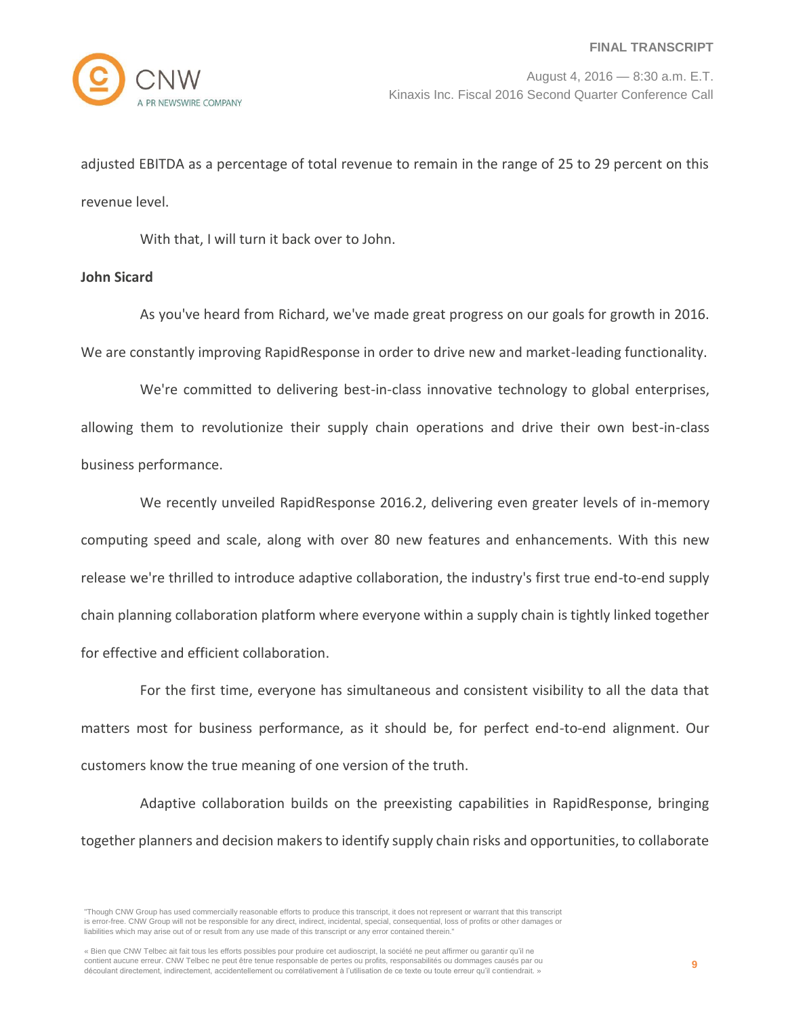adjusted EBITDA as a percentage of total revenue to remain in the range of 25 to 29 percent on this revenue level.

With that, I will turn it back over to John.

# **John Sicard**

As you've heard from Richard, we've made great progress on our goals for growth in 2016. We are constantly improving RapidResponse in order to drive new and market-leading functionality.

We're committed to delivering best-in-class innovative technology to global enterprises, allowing them to revolutionize their supply chain operations and drive their own best-in-class business performance.

We recently unveiled RapidResponse 2016.2, delivering even greater levels of in-memory computing speed and scale, along with over 80 new features and enhancements. With this new release we're thrilled to introduce adaptive collaboration, the industry's first true end-to-end supply chain planning collaboration platform where everyone within a supply chain is tightly linked together for effective and efficient collaboration.

For the first time, everyone has simultaneous and consistent visibility to all the data that matters most for business performance, as it should be, for perfect end-to-end alignment. Our customers know the true meaning of one version of the truth.

Adaptive collaboration builds on the preexisting capabilities in RapidResponse, bringing together planners and decision makers to identify supply chain risks and opportunities, to collaborate

<sup>&</sup>quot;Though CNW Group has used commercially reasonable efforts to produce this transcript, it does not represent or warrant that this transcript is error-free. CNW Group will not be responsible for any direct, indirect, incidental, special, consequential, loss of profits or other damages or liabilities which may arise out of or result from any use made of this transcript or any error contained therein."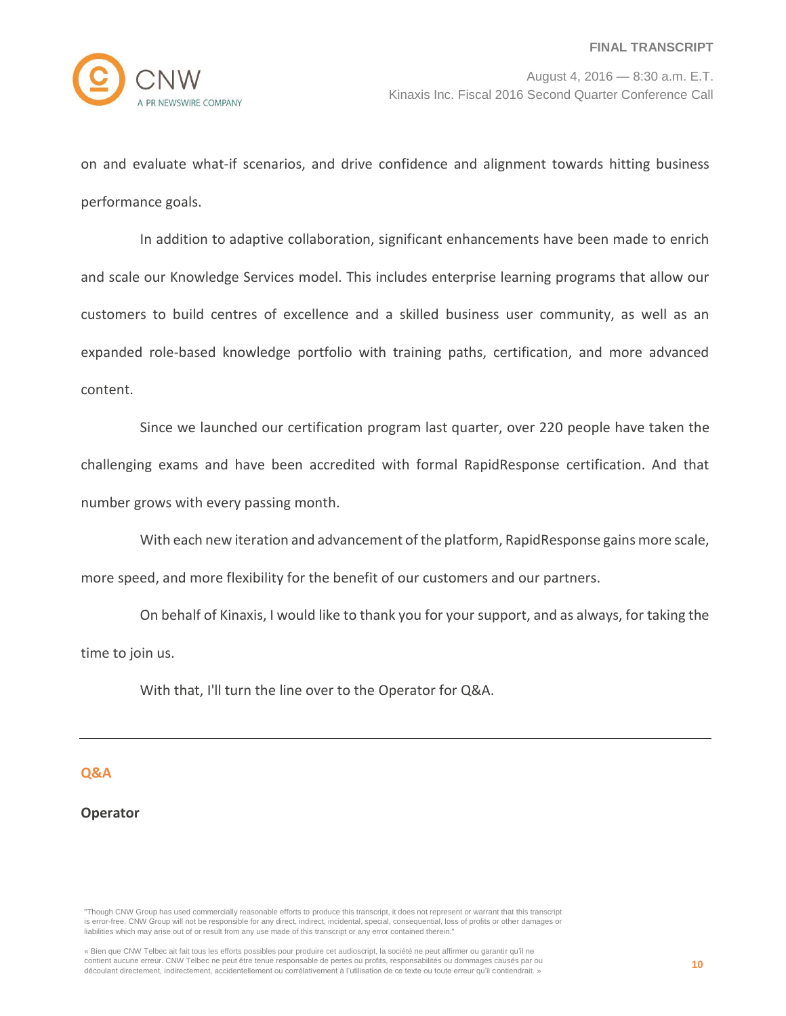

on and evaluate what-if scenarios, and drive confidence and alignment towards hitting business performance goals.

In addition to adaptive collaboration, significant enhancements have been made to enrich and scale our Knowledge Services model. This includes enterprise learning programs that allow our customers to build centres of excellence and a skilled business user community, as well as an expanded role-based knowledge portfolio with training paths, certification, and more advanced content.

Since we launched our certification program last quarter, over 220 people have taken the challenging exams and have been accredited with formal RapidResponse certification. And that number grows with every passing month.

With each new iteration and advancement of the platform, RapidResponse gains more scale, more speed, and more flexibility for the benefit of our customers and our partners.

On behalf of Kinaxis, I would like to thank you for your support, and as always, for taking the time to join us.

With that, I'll turn the line over to the Operator for Q&A.

# **Q&A**

## **Operator**

"Though CNW Group has used commercially reasonable efforts to produce this transcript, it does not represent or warrant that this transcript is error-free. CNW Group will not be responsible for any direct, indirect, incidental, special, consequential, loss of profits or other damages or liabilities which may arise out of or result from any use made of this transcript or any error contained therein."

<sup>«</sup> Bien que CNW Telbec ait fait tous les efforts possibles pour produire cet audioscript, la société ne peut affirmer ou garantir qu'il ne contient aucune erreur. CNW Telbec ne peut être tenue responsable de pertes ou profits, responsabilités ou dommages causés par ou découlant directement, indirectement, accidentellement ou corrélativement à l'utilisation de ce texte ou toute erreur qu'il contiendrait. »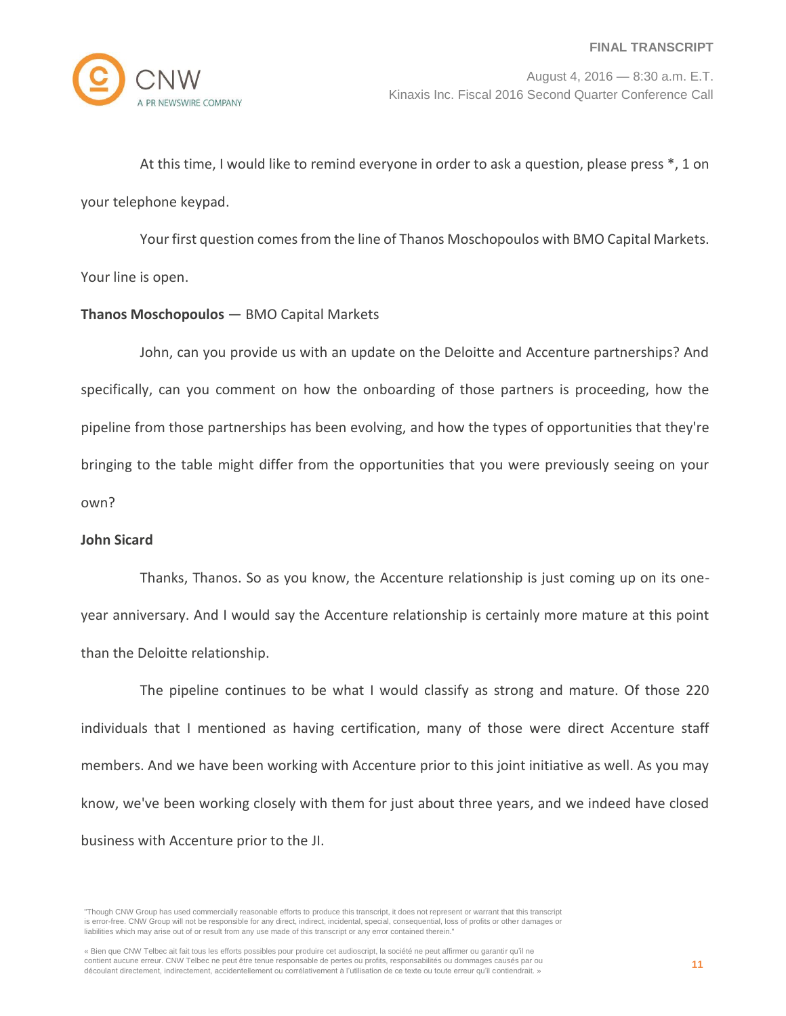

At this time, I would like to remind everyone in order to ask a question, please press \*, 1 on your telephone keypad.

Your first question comes from the line of Thanos Moschopoulos with BMO Capital Markets. Your line is open.

# **Thanos Moschopoulos** — BMO Capital Markets

John, can you provide us with an update on the Deloitte and Accenture partnerships? And specifically, can you comment on how the onboarding of those partners is proceeding, how the pipeline from those partnerships has been evolving, and how the types of opportunities that they're bringing to the table might differ from the opportunities that you were previously seeing on your own?

# **John Sicard**

Thanks, Thanos. So as you know, the Accenture relationship is just coming up on its oneyear anniversary. And I would say the Accenture relationship is certainly more mature at this point than the Deloitte relationship.

The pipeline continues to be what I would classify as strong and mature. Of those 220 individuals that I mentioned as having certification, many of those were direct Accenture staff members. And we have been working with Accenture prior to this joint initiative as well. As you may know, we've been working closely with them for just about three years, and we indeed have closed business with Accenture prior to the JI.

<sup>&</sup>quot;Though CNW Group has used commercially reasonable efforts to produce this transcript, it does not represent or warrant that this transcript is error-free. CNW Group will not be responsible for any direct, indirect, incidental, special, consequential, loss of profits or other damages or liabilities which may arise out of or result from any use made of this transcript or any error contained therein."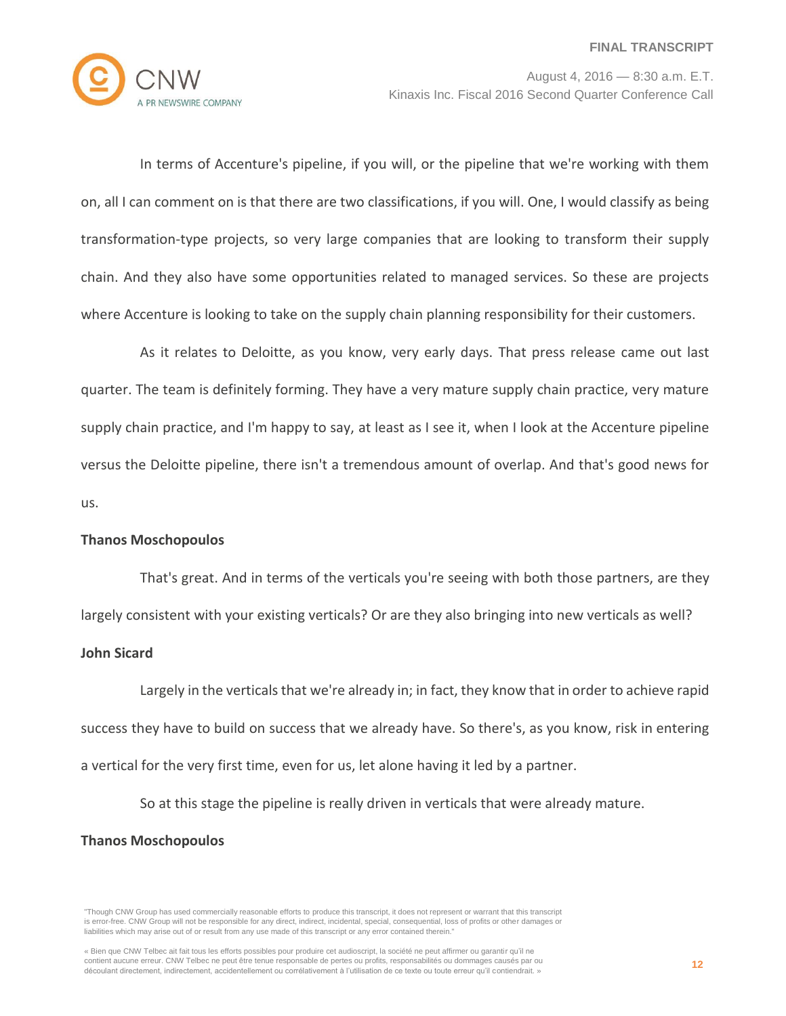

In terms of Accenture's pipeline, if you will, or the pipeline that we're working with them on, all I can comment on is that there are two classifications, if you will. One, I would classify as being transformation-type projects, so very large companies that are looking to transform their supply chain. And they also have some opportunities related to managed services. So these are projects where Accenture is looking to take on the supply chain planning responsibility for their customers.

As it relates to Deloitte, as you know, very early days. That press release came out last quarter. The team is definitely forming. They have a very mature supply chain practice, very mature supply chain practice, and I'm happy to say, at least as I see it, when I look at the Accenture pipeline versus the Deloitte pipeline, there isn't a tremendous amount of overlap. And that's good news for us.

## **Thanos Moschopoulos**

That's great. And in terms of the verticals you're seeing with both those partners, are they

largely consistent with your existing verticals? Or are they also bringing into new verticals as well?

#### **John Sicard**

Largely in the verticals that we're already in; in fact, they know that in order to achieve rapid success they have to build on success that we already have. So there's, as you know, risk in entering a vertical for the very first time, even for us, let alone having it led by a partner.

So at this stage the pipeline is really driven in verticals that were already mature.

#### **Thanos Moschopoulos**

<sup>&</sup>quot;Though CNW Group has used commercially reasonable efforts to produce this transcript, it does not represent or warrant that this transcript is error-free. CNW Group will not be responsible for any direct, indirect, incidental, special, consequential, loss of profits or other damages or liabilities which may arise out of or result from any use made of this transcript or any error contained therein."

<sup>«</sup> Bien que CNW Telbec ait fait tous les efforts possibles pour produire cet audioscript, la société ne peut affirmer ou garantir qu'il ne contient aucune erreur. CNW Telbec ne peut être tenue responsable de pertes ou profits, responsabilités ou dommages causés par ou découlant directement, indirectement, accidentellement ou corrélativement à l'utilisation de ce texte ou toute erreur qu'il contiendrait. »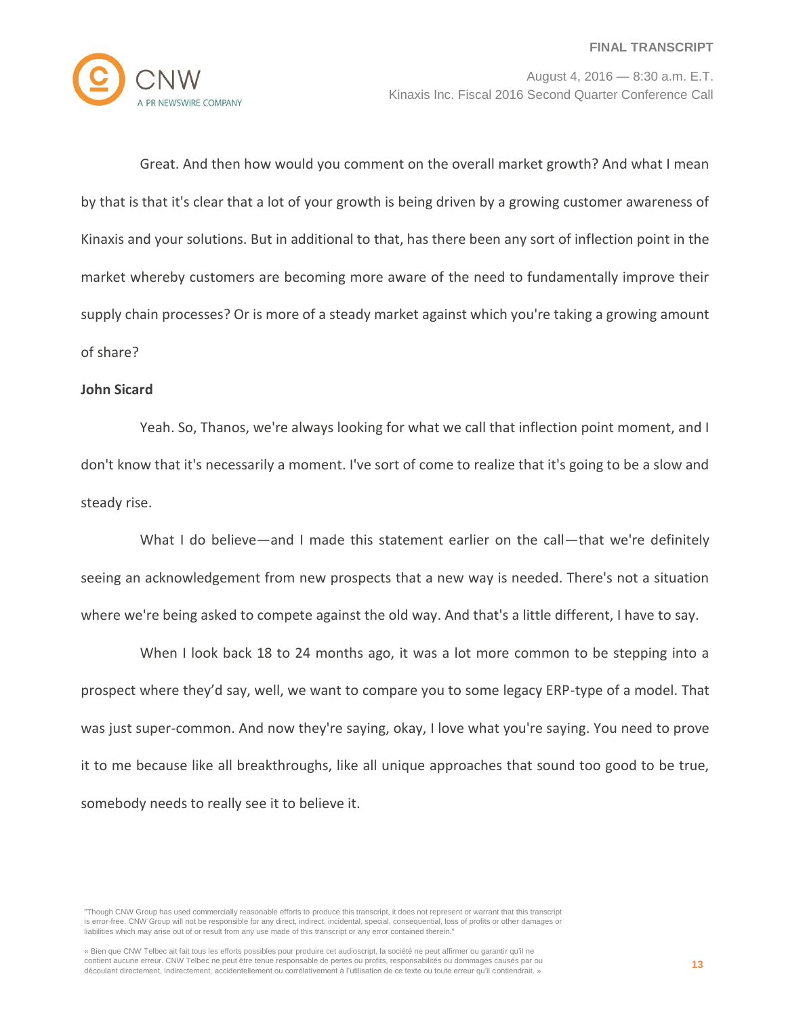

Great. And then how would you comment on the overall market growth? And what I mean by that is that it's clear that a lot of your growth is being driven by a growing customer awareness of Kinaxis and your solutions. But in additional to that, has there been any sort of inflection point in the market whereby customers are becoming more aware of the need to fundamentally improve their supply chain processes? Or is more of a steady market against which you're taking a growing amount of share?

#### **John Sicard**

Yeah. So, Thanos, we're always looking for what we call that inflection point moment, and I don't know that it's necessarily a moment. I've sort of come to realize that it's going to be a slow and steady rise.

What I do believe—and I made this statement earlier on the call—that we're definitely seeing an acknowledgement from new prospects that a new way is needed. There's not a situation where we're being asked to compete against the old way. And that's a little different, I have to say.

When I look back 18 to 24 months ago, it was a lot more common to be stepping into a prospect where they'd say, well, we want to compare you to some legacy ERP-type of a model. That was just super-common. And now they're saying, okay, I love what you're saying. You need to prove it to me because like all breakthroughs, like all unique approaches that sound too good to be true, somebody needs to really see it to believe it.

"Though CNW Group has used commercially reasonable efforts to produce this transcript, it does not represent or warrant that this transcript is error-free. CNW Group will not be responsible for any direct, indirect, incidental, special, consequential, loss of profits or other damages or liabilities which may arise out of or result from any use made of this transcript or any error contained therein."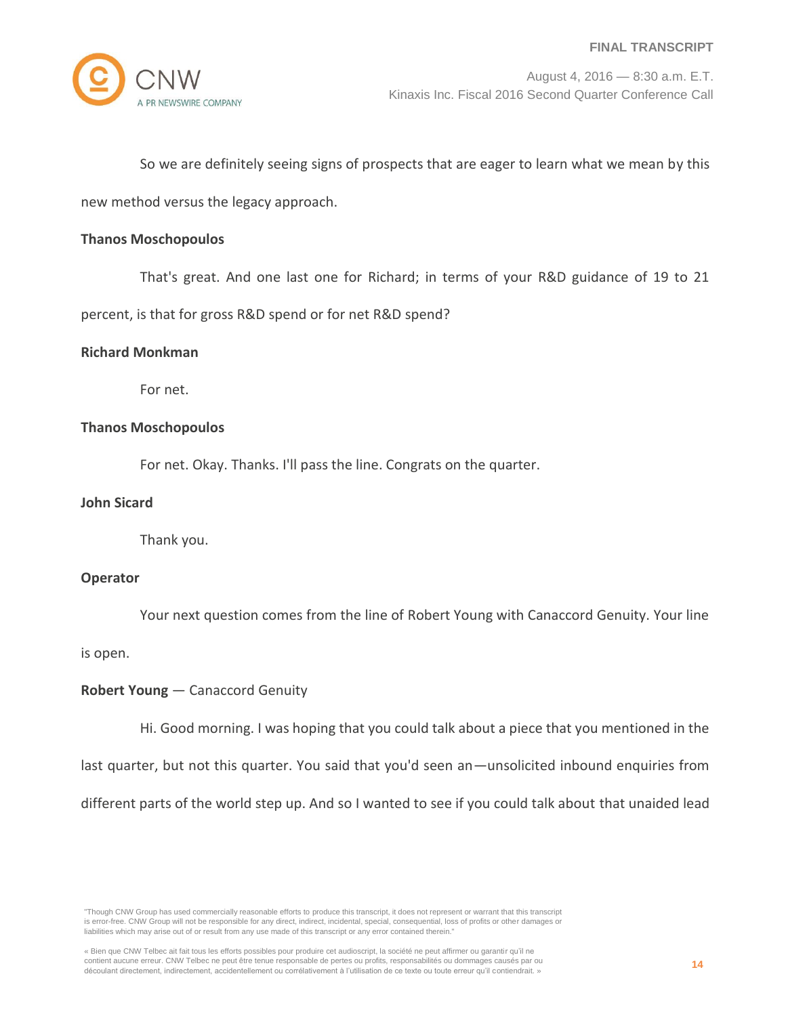

## So we are definitely seeing signs of prospects that are eager to learn what we mean by this

new method versus the legacy approach.

#### **Thanos Moschopoulos**

That's great. And one last one for Richard; in terms of your R&D guidance of 19 to 21

percent, is that for gross R&D spend or for net R&D spend?

#### **Richard Monkman**

For net.

#### **Thanos Moschopoulos**

For net. Okay. Thanks. I'll pass the line. Congrats on the quarter.

# **John Sicard**

Thank you.

## **Operator**

Your next question comes from the line of Robert Young with Canaccord Genuity. Your line

#### is open.

## **Robert Young** — Canaccord Genuity

Hi. Good morning. I was hoping that you could talk about a piece that you mentioned in the

last quarter, but not this quarter. You said that you'd seen an—unsolicited inbound enquiries from

different parts of the world step up. And so I wanted to see if you could talk about that unaided lead

"Though CNW Group has used commercially reasonable efforts to produce this transcript, it does not represent or warrant that this transcript is error-free. CNW Group will not be responsible for any direct, indirect, incidental, special, consequential, loss of profits or other damages or liabilities which may arise out of or result from any use made of this transcript or any error contained therein."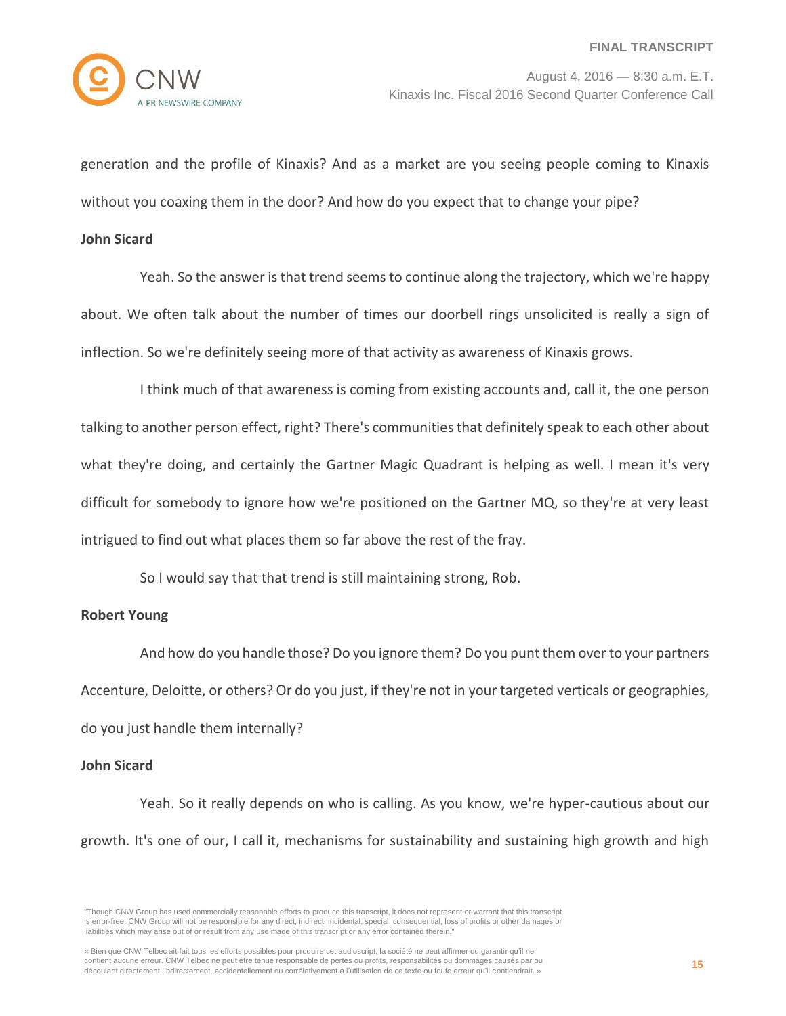generation and the profile of Kinaxis? And as a market are you seeing people coming to Kinaxis without you coaxing them in the door? And how do you expect that to change your pipe?

#### **John Sicard**

Yeah. So the answer is that trend seems to continue along the trajectory, which we're happy about. We often talk about the number of times our doorbell rings unsolicited is really a sign of inflection. So we're definitely seeing more of that activity as awareness of Kinaxis grows.

I think much of that awareness is coming from existing accounts and, call it, the one person talking to another person effect, right? There's communities that definitely speak to each other about what they're doing, and certainly the Gartner Magic Quadrant is helping as well. I mean it's very difficult for somebody to ignore how we're positioned on the Gartner MQ, so they're at very least intrigued to find out what places them so far above the rest of the fray.

So I would say that that trend is still maintaining strong, Rob.

#### **Robert Young**

And how do you handle those? Do you ignore them? Do you punt them over to your partners Accenture, Deloitte, or others? Or do you just, if they're not in your targeted verticals or geographies, do you just handle them internally?

#### **John Sicard**

Yeah. So it really depends on who is calling. As you know, we're hyper-cautious about our growth. It's one of our, I call it, mechanisms for sustainability and sustaining high growth and high

<sup>&</sup>quot;Though CNW Group has used commercially reasonable efforts to produce this transcript, it does not represent or warrant that this transcript is error-free. CNW Group will not be responsible for any direct, indirect, incidental, special, consequential, loss of profits or other damages or liabilities which may arise out of or result from any use made of this transcript or any error contained therein."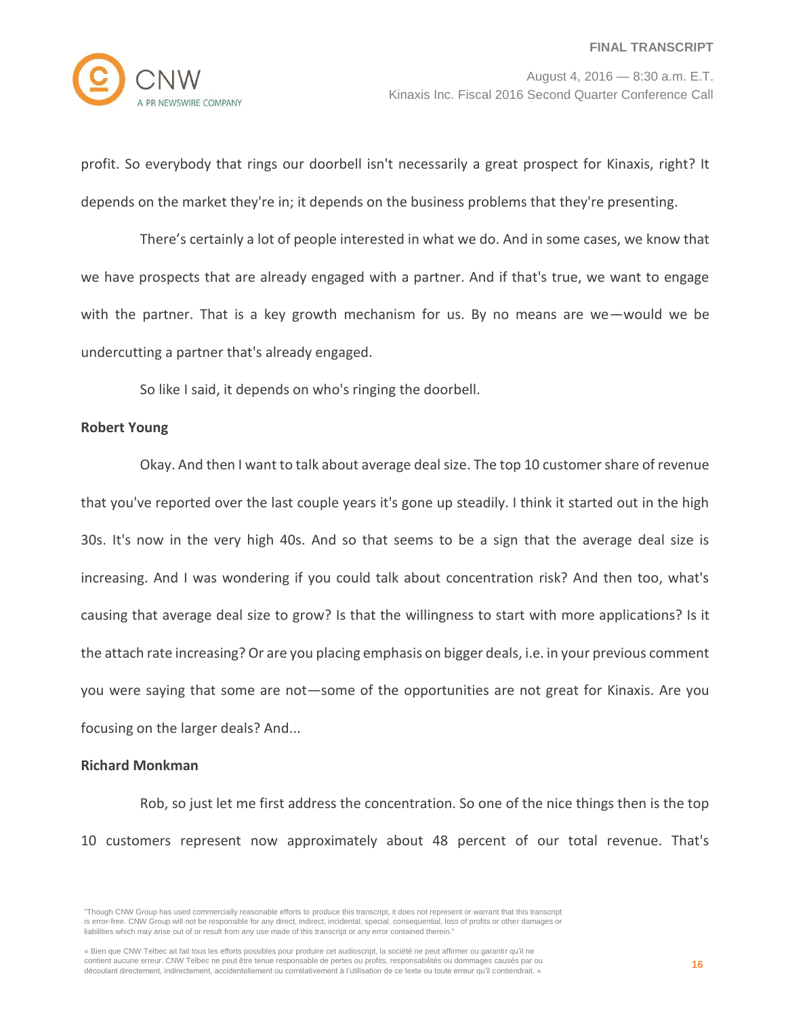profit. So everybody that rings our doorbell isn't necessarily a great prospect for Kinaxis, right? It depends on the market they're in; it depends on the business problems that they're presenting.

There's certainly a lot of people interested in what we do. And in some cases, we know that we have prospects that are already engaged with a partner. And if that's true, we want to engage with the partner. That is a key growth mechanism for us. By no means are we—would we be undercutting a partner that's already engaged.

So like I said, it depends on who's ringing the doorbell.

## **Robert Young**

Okay. And then I want to talk about average deal size. The top 10 customer share of revenue that you've reported over the last couple years it's gone up steadily. I think it started out in the high 30s. It's now in the very high 40s. And so that seems to be a sign that the average deal size is increasing. And I was wondering if you could talk about concentration risk? And then too, what's causing that average deal size to grow? Is that the willingness to start with more applications? Is it the attach rate increasing? Or are you placing emphasis on bigger deals, i.e. in your previous comment you were saying that some are not—some of the opportunities are not great for Kinaxis. Are you focusing on the larger deals? And...

## **Richard Monkman**

Rob, so just let me first address the concentration. So one of the nice things then is the top 10 customers represent now approximately about 48 percent of our total revenue. That's

<sup>&</sup>quot;Though CNW Group has used commercially reasonable efforts to produce this transcript, it does not represent or warrant that this transcript is error-free. CNW Group will not be responsible for any direct, indirect, incidental, special, consequential, loss of profits or other damages or liabilities which may arise out of or result from any use made of this transcript or any error contained therein."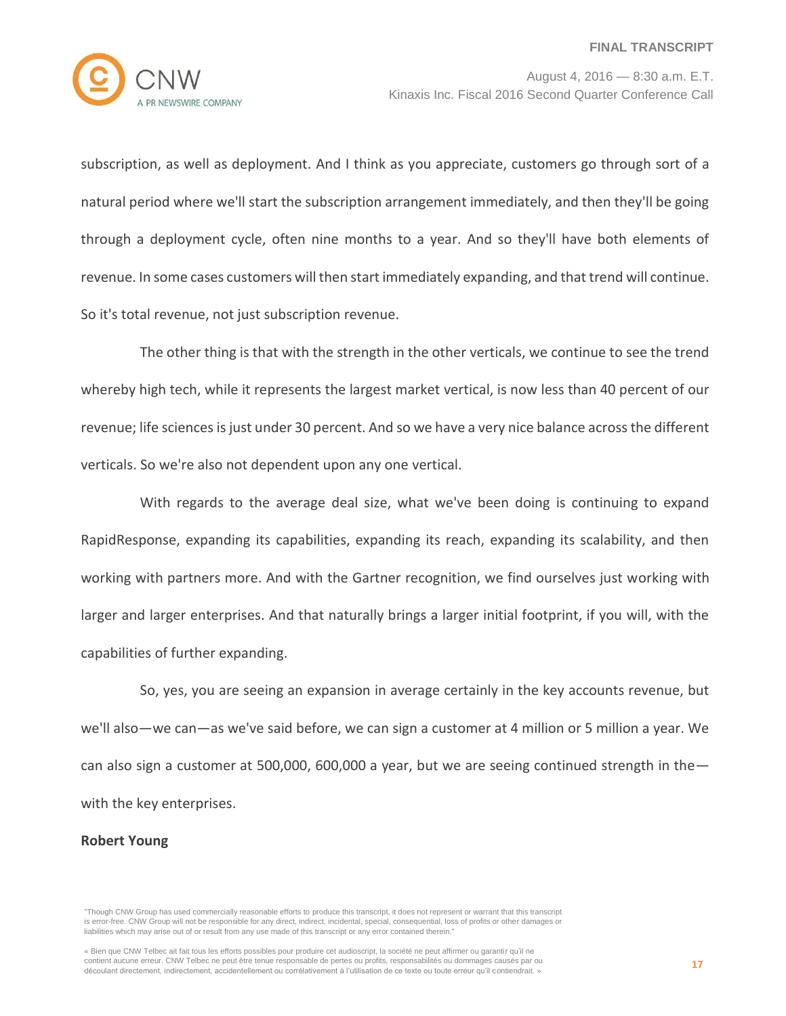

subscription, as well as deployment. And I think as you appreciate, customers go through sort of a natural period where we'll start the subscription arrangement immediately, and then they'll be going through a deployment cycle, often nine months to a year. And so they'll have both elements of revenue. In some cases customers will then start immediately expanding, and that trend will continue. So it's total revenue, not just subscription revenue.

The other thing is that with the strength in the other verticals, we continue to see the trend whereby high tech, while it represents the largest market vertical, is now less than 40 percent of our revenue; life sciences is just under 30 percent. And so we have a very nice balance across the different verticals. So we're also not dependent upon any one vertical.

With regards to the average deal size, what we've been doing is continuing to expand RapidResponse, expanding its capabilities, expanding its reach, expanding its scalability, and then working with partners more. And with the Gartner recognition, we find ourselves just working with larger and larger enterprises. And that naturally brings a larger initial footprint, if you will, with the capabilities of further expanding.

So, yes, you are seeing an expansion in average certainly in the key accounts revenue, but we'll also—we can—as we've said before, we can sign a customer at 4 million or 5 million a year. We can also sign a customer at 500,000, 600,000 a year, but we are seeing continued strength in the with the key enterprises.

## **Robert Young**

<sup>&</sup>quot;Though CNW Group has used commercially reasonable efforts to produce this transcript, it does not represent or warrant that this transcript is error-free. CNW Group will not be responsible for any direct, indirect, incidental, special, consequential, loss of profits or other damages or liabilities which may arise out of or result from any use made of this transcript or any error contained therein."

<sup>«</sup> Bien que CNW Telbec ait fait tous les efforts possibles pour produire cet audioscript, la société ne peut affirmer ou garantir qu'il ne contient aucune erreur. CNW Telbec ne peut être tenue responsable de pertes ou profits, responsabilités ou dommages causés par ou découlant directement, indirectement, accidentellement ou corrélativement à l'utilisation de ce texte ou toute erreur qu'il contiendrait. »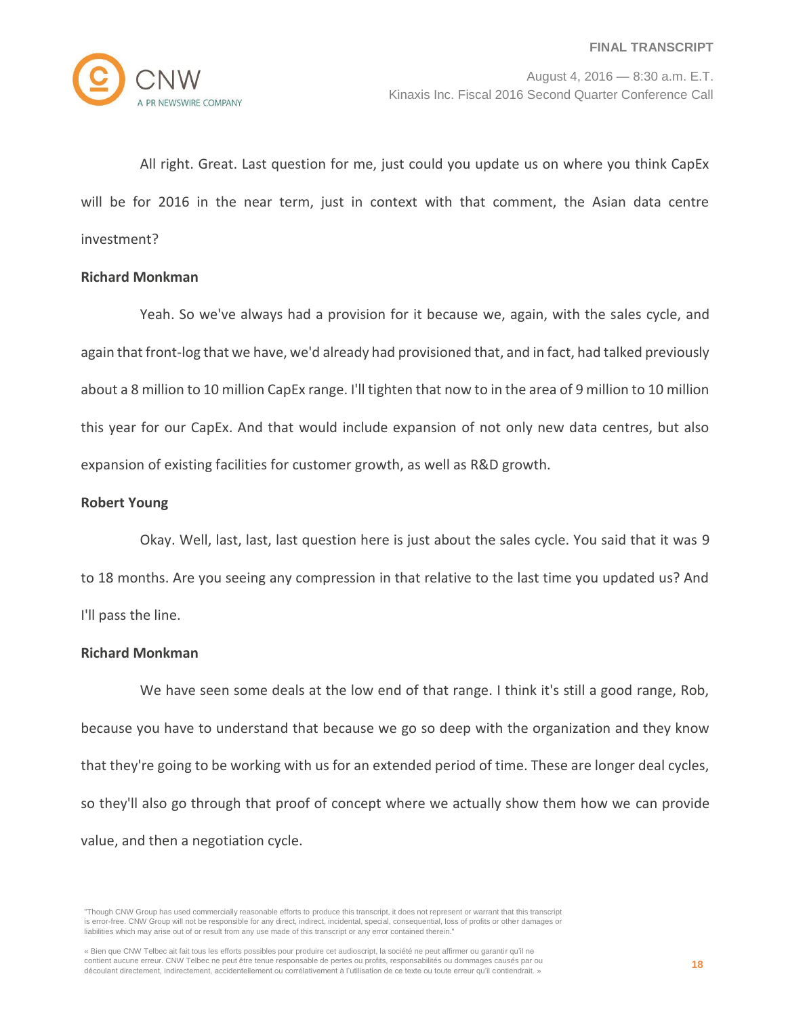All right. Great. Last question for me, just could you update us on where you think CapEx will be for 2016 in the near term, just in context with that comment, the Asian data centre investment?

## **Richard Monkman**

Yeah. So we've always had a provision for it because we, again, with the sales cycle, and again that front-log that we have, we'd already had provisioned that, and in fact, had talked previously about a 8 million to 10 million CapEx range. I'll tighten that now to in the area of 9 million to 10 million this year for our CapEx. And that would include expansion of not only new data centres, but also expansion of existing facilities for customer growth, as well as R&D growth.

#### **Robert Young**

Okay. Well, last, last, last question here is just about the sales cycle. You said that it was 9 to 18 months. Are you seeing any compression in that relative to the last time you updated us? And I'll pass the line.

## **Richard Monkman**

We have seen some deals at the low end of that range. I think it's still a good range, Rob, because you have to understand that because we go so deep with the organization and they know that they're going to be working with us for an extended period of time. These are longer deal cycles, so they'll also go through that proof of concept where we actually show them how we can provide value, and then a negotiation cycle.

<sup>&</sup>quot;Though CNW Group has used commercially reasonable efforts to produce this transcript, it does not represent or warrant that this transcript is error-free. CNW Group will not be responsible for any direct, indirect, incidental, special, consequential, loss of profits or other damages or liabilities which may arise out of or result from any use made of this transcript or any error contained therein."

<sup>«</sup> Bien que CNW Telbec ait fait tous les efforts possibles pour produire cet audioscript, la société ne peut affirmer ou garantir qu'il ne contient aucune erreur. CNW Telbec ne peut être tenue responsable de pertes ou profits, responsabilités ou dommages causés par ou découlant directement, indirectement, accidentellement ou corrélativement à l'utilisation de ce texte ou toute erreur qu'il contiendrait. »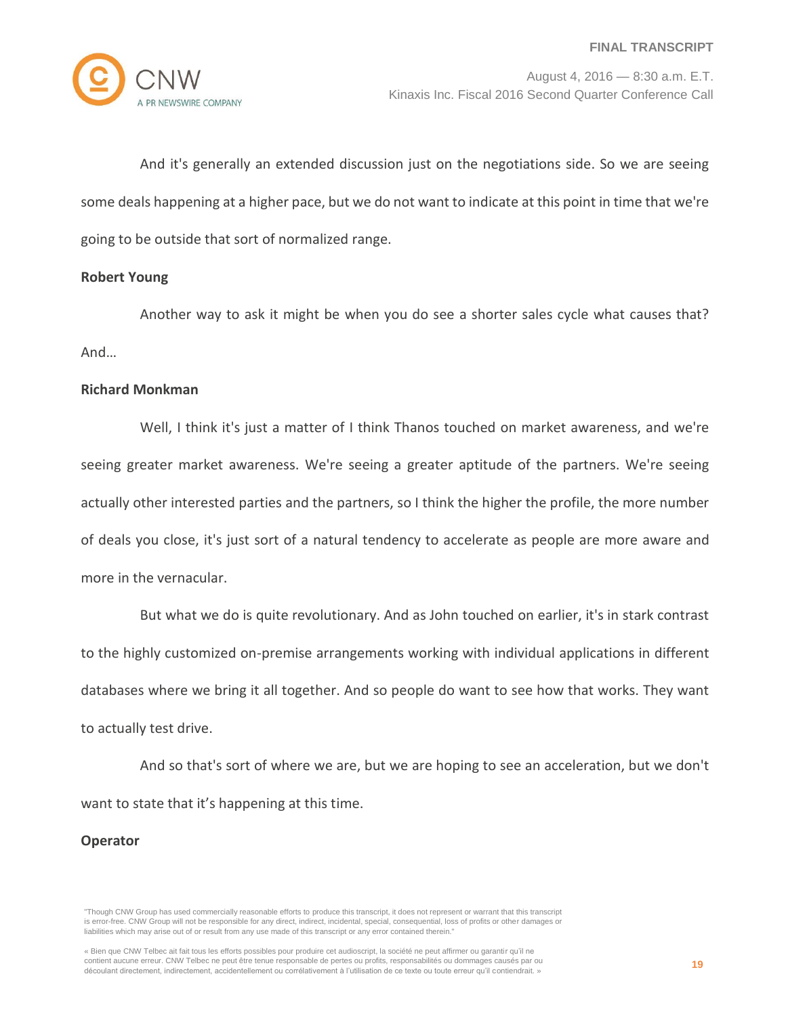

And it's generally an extended discussion just on the negotiations side. So we are seeing some deals happening at a higher pace, but we do not want to indicate at this point in time that we're going to be outside that sort of normalized range.

## **Robert Young**

Another way to ask it might be when you do see a shorter sales cycle what causes that? And…

#### **Richard Monkman**

Well, I think it's just a matter of I think Thanos touched on market awareness, and we're seeing greater market awareness. We're seeing a greater aptitude of the partners. We're seeing actually other interested parties and the partners, so I think the higher the profile, the more number of deals you close, it's just sort of a natural tendency to accelerate as people are more aware and more in the vernacular.

But what we do is quite revolutionary. And as John touched on earlier, it's in stark contrast to the highly customized on-premise arrangements working with individual applications in different databases where we bring it all together. And so people do want to see how that works. They want to actually test drive.

And so that's sort of where we are, but we are hoping to see an acceleration, but we don't want to state that it's happening at this time.

#### **Operator**

<sup>&</sup>quot;Though CNW Group has used commercially reasonable efforts to produce this transcript, it does not represent or warrant that this transcript is error-free. CNW Group will not be responsible for any direct, indirect, incidental, special, consequential, loss of profits or other damages or liabilities which may arise out of or result from any use made of this transcript or any error contained therein."

<sup>«</sup> Bien que CNW Telbec ait fait tous les efforts possibles pour produire cet audioscript, la société ne peut affirmer ou garantir qu'il ne contient aucune erreur. CNW Telbec ne peut être tenue responsable de pertes ou profits, responsabilités ou dommages causés par ou découlant directement, indirectement, accidentellement ou corrélativement à l'utilisation de ce texte ou toute erreur qu'il contiendrait. »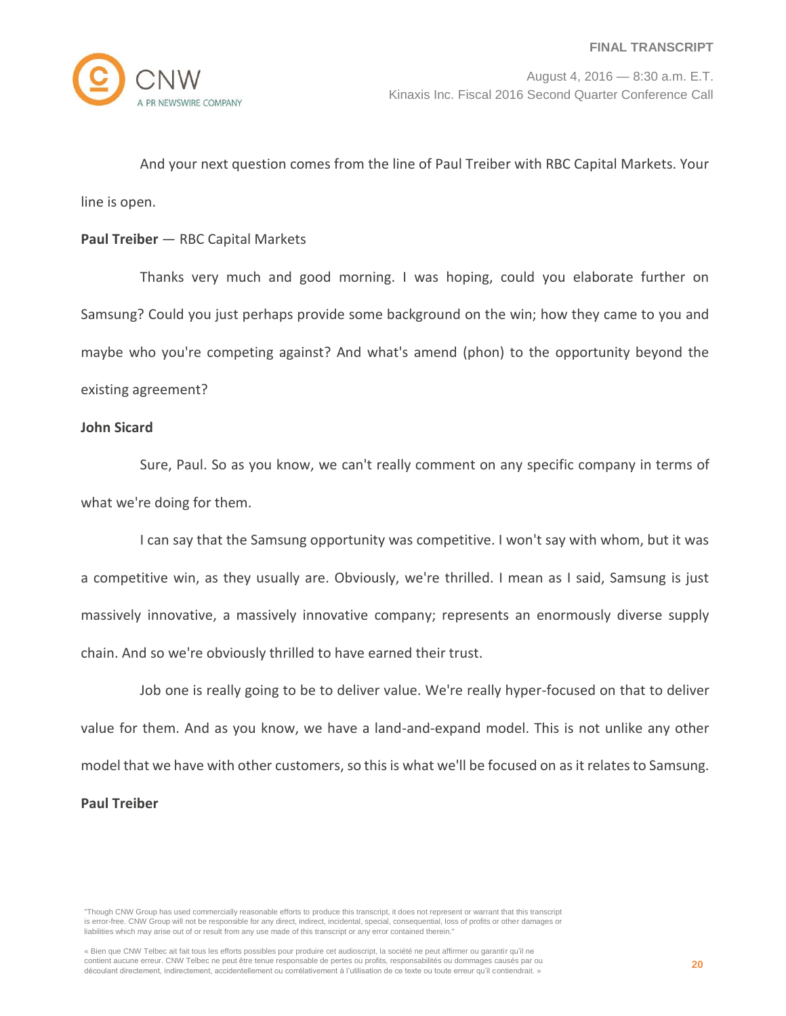And your next question comes from the line of Paul Treiber with RBC Capital Markets. Your line is open.

# **Paul Treiber** — RBC Capital Markets

Thanks very much and good morning. I was hoping, could you elaborate further on Samsung? Could you just perhaps provide some background on the win; how they came to you and maybe who you're competing against? And what's amend (phon) to the opportunity beyond the existing agreement?

## **John Sicard**

Sure, Paul. So as you know, we can't really comment on any specific company in terms of what we're doing for them.

I can say that the Samsung opportunity was competitive. I won't say with whom, but it was a competitive win, as they usually are. Obviously, we're thrilled. I mean as I said, Samsung is just massively innovative, a massively innovative company; represents an enormously diverse supply chain. And so we're obviously thrilled to have earned their trust.

Job one is really going to be to deliver value. We're really hyper-focused on that to deliver value for them. And as you know, we have a land-and-expand model. This is not unlike any other model that we have with other customers, so this is what we'll be focused on as it relates to Samsung. **Paul Treiber**

<sup>&</sup>quot;Though CNW Group has used commercially reasonable efforts to produce this transcript, it does not represent or warrant that this transcript is error-free. CNW Group will not be responsible for any direct, indirect, incidental, special, consequential, loss of profits or other damages or liabilities which may arise out of or result from any use made of this transcript or any error contained therein."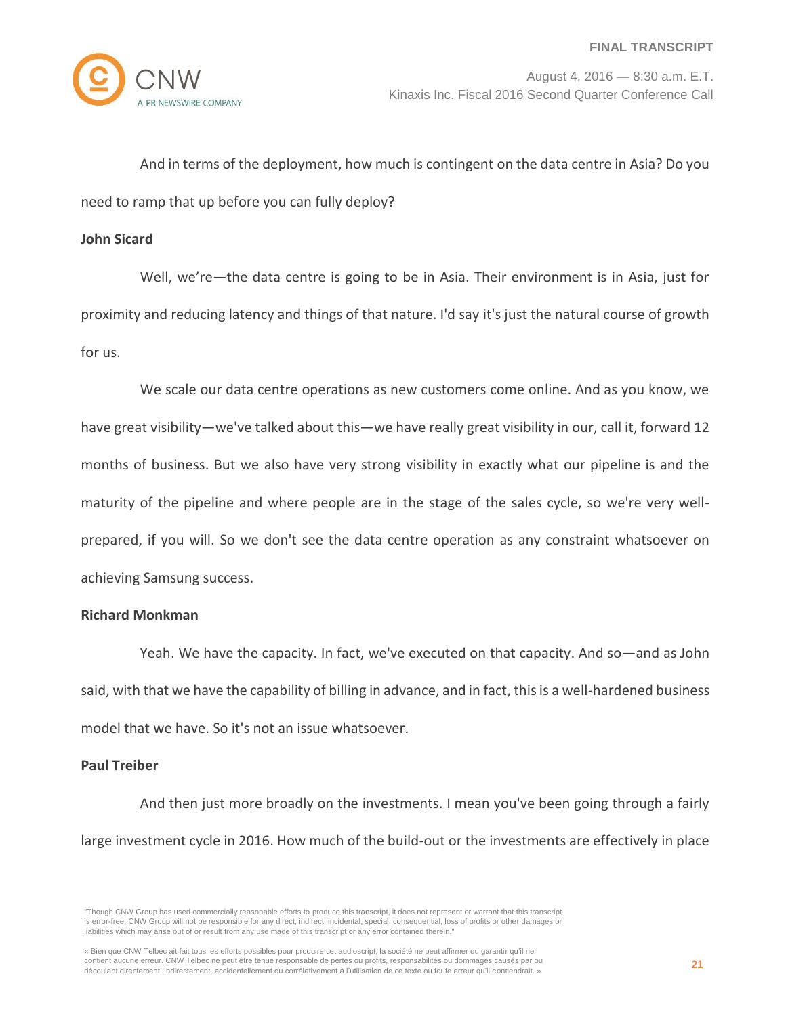And in terms of the deployment, how much is contingent on the data centre in Asia? Do you need to ramp that up before you can fully deploy?

#### **John Sicard**

Well, we're—the data centre is going to be in Asia. Their environment is in Asia, just for proximity and reducing latency and things of that nature. I'd say it's just the natural course of growth for us.

We scale our data centre operations as new customers come online. And as you know, we have great visibility—we've talked about this—we have really great visibility in our, call it, forward 12 months of business. But we also have very strong visibility in exactly what our pipeline is and the maturity of the pipeline and where people are in the stage of the sales cycle, so we're very wellprepared, if you will. So we don't see the data centre operation as any constraint whatsoever on achieving Samsung success.

## **Richard Monkman**

Yeah. We have the capacity. In fact, we've executed on that capacity. And so—and as John said, with that we have the capability of billing in advance, and in fact, this is a well-hardened business model that we have. So it's not an issue whatsoever.

## **Paul Treiber**

And then just more broadly on the investments. I mean you've been going through a fairly large investment cycle in 2016. How much of the build-out or the investments are effectively in place

<sup>&</sup>quot;Though CNW Group has used commercially reasonable efforts to produce this transcript, it does not represent or warrant that this transcript is error-free. CNW Group will not be responsible for any direct, indirect, incidental, special, consequential, loss of profits or other damages or liabilities which may arise out of or result from any use made of this transcript or any error contained therein."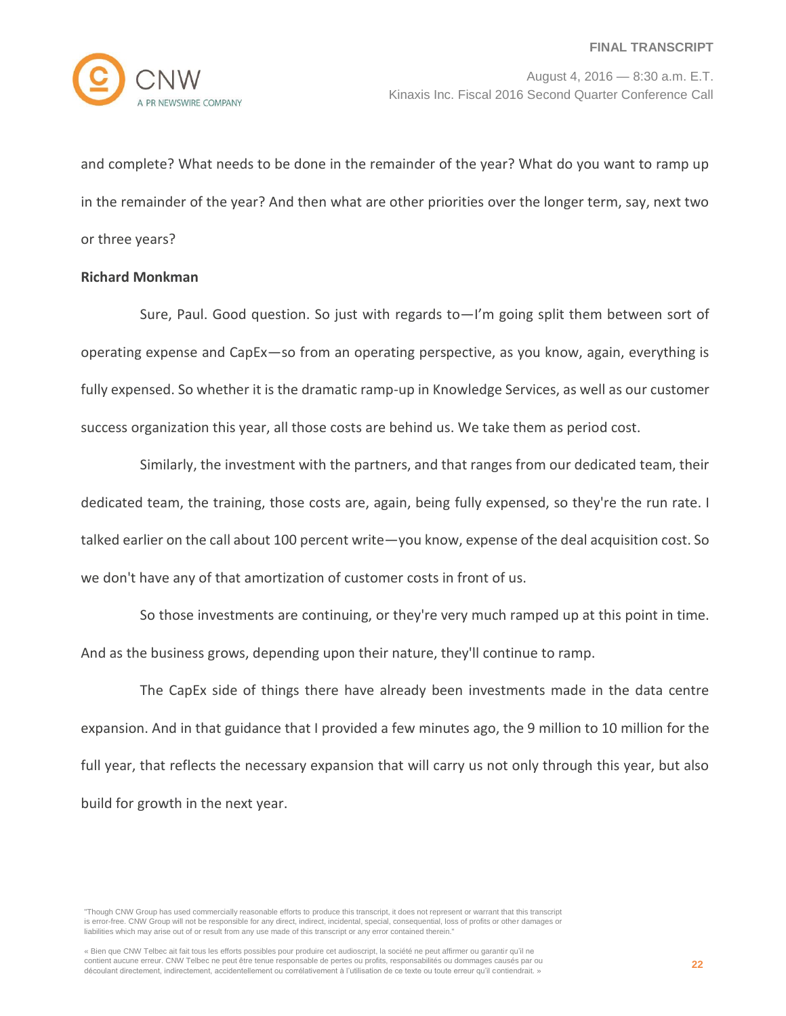

and complete? What needs to be done in the remainder of the year? What do you want to ramp up in the remainder of the year? And then what are other priorities over the longer term, say, next two or three years?

# **Richard Monkman**

Sure, Paul. Good question. So just with regards to—I'm going split them between sort of operating expense and CapEx—so from an operating perspective, as you know, again, everything is fully expensed. So whether it is the dramatic ramp-up in Knowledge Services, as well as our customer success organization this year, all those costs are behind us. We take them as period cost.

Similarly, the investment with the partners, and that ranges from our dedicated team, their dedicated team, the training, those costs are, again, being fully expensed, so they're the run rate. I talked earlier on the call about 100 percent write—you know, expense of the deal acquisition cost. So we don't have any of that amortization of customer costs in front of us.

So those investments are continuing, or they're very much ramped up at this point in time. And as the business grows, depending upon their nature, they'll continue to ramp.

The CapEx side of things there have already been investments made in the data centre expansion. And in that guidance that I provided a few minutes ago, the 9 million to 10 million for the full year, that reflects the necessary expansion that will carry us not only through this year, but also build for growth in the next year.

<sup>&</sup>quot;Though CNW Group has used commercially reasonable efforts to produce this transcript, it does not represent or warrant that this transcript is error-free. CNW Group will not be responsible for any direct, indirect, incidental, special, consequential, loss of profits or other damages or liabilities which may arise out of or result from any use made of this transcript or any error contained therein."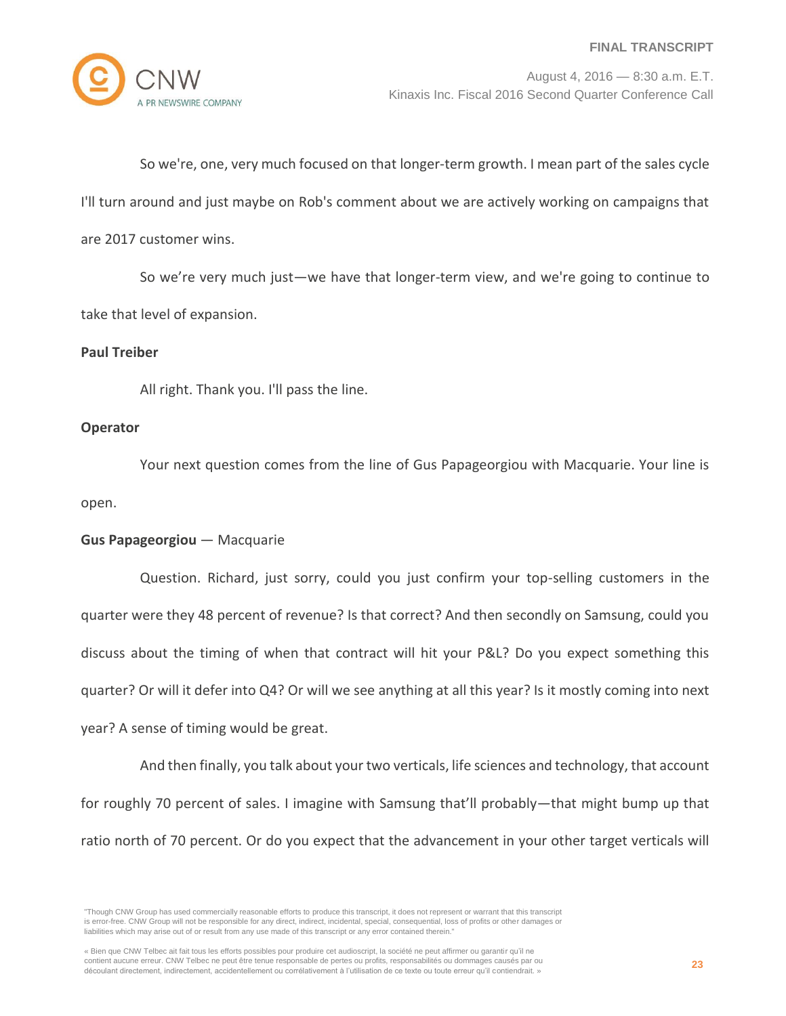

So we're, one, very much focused on that longer-term growth. I mean part of the sales cycle I'll turn around and just maybe on Rob's comment about we are actively working on campaigns that are 2017 customer wins.

So we're very much just—we have that longer-term view, and we're going to continue to take that level of expansion.

# **Paul Treiber**

All right. Thank you. I'll pass the line.

# **Operator**

Your next question comes from the line of Gus Papageorgiou with Macquarie. Your line is open.

# **Gus Papageorgiou** — Macquarie

Question. Richard, just sorry, could you just confirm your top-selling customers in the quarter were they 48 percent of revenue? Is that correct? And then secondly on Samsung, could you discuss about the timing of when that contract will hit your P&L? Do you expect something this quarter? Or will it defer into Q4? Or will we see anything at all this year? Is it mostly coming into next year? A sense of timing would be great.

And then finally, you talk about your two verticals, life sciences and technology, that account for roughly 70 percent of sales. I imagine with Samsung that'll probably—that might bump up that ratio north of 70 percent. Or do you expect that the advancement in your other target verticals will

<sup>&</sup>quot;Though CNW Group has used commercially reasonable efforts to produce this transcript, it does not represent or warrant that this transcript is error-free. CNW Group will not be responsible for any direct, indirect, incidental, special, consequential, loss of profits or other damages or liabilities which may arise out of or result from any use made of this transcript or any error contained therein."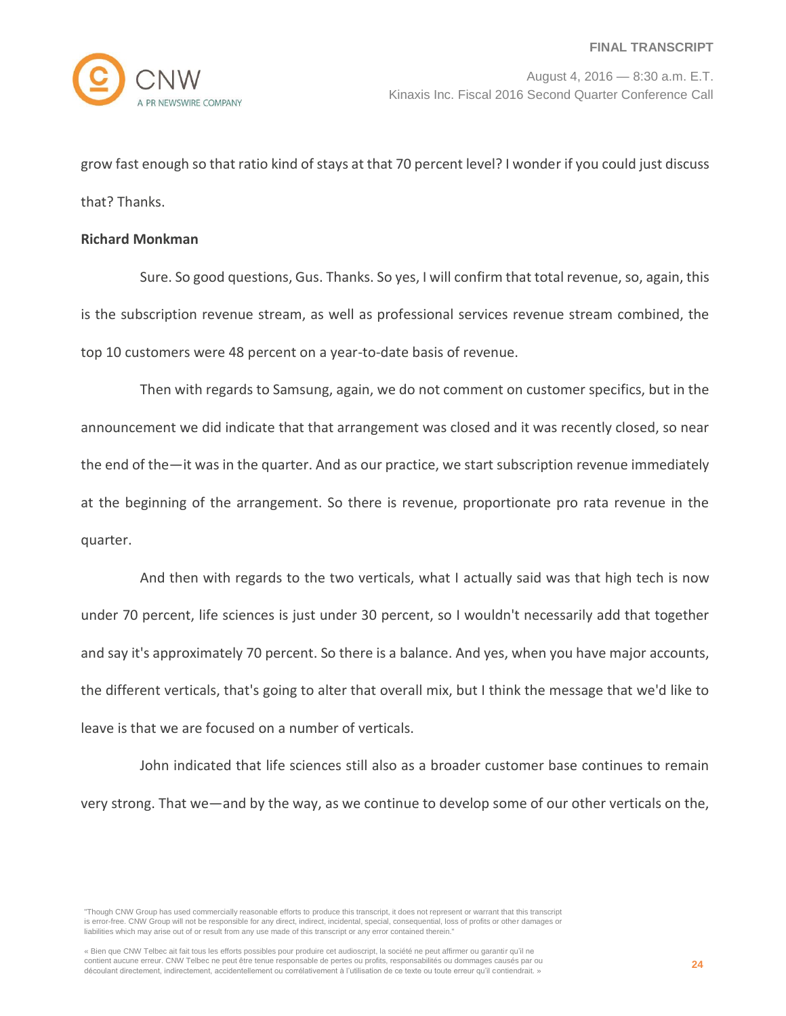grow fast enough so that ratio kind of stays at that 70 percent level? I wonder if you could just discuss that? Thanks.

#### **Richard Monkman**

Sure. So good questions, Gus. Thanks. So yes, I will confirm that total revenue, so, again, this is the subscription revenue stream, as well as professional services revenue stream combined, the top 10 customers were 48 percent on a year-to-date basis of revenue.

Then with regards to Samsung, again, we do not comment on customer specifics, but in the announcement we did indicate that that arrangement was closed and it was recently closed, so near the end of the—it was in the quarter. And as our practice, we start subscription revenue immediately at the beginning of the arrangement. So there is revenue, proportionate pro rata revenue in the quarter.

And then with regards to the two verticals, what I actually said was that high tech is now under 70 percent, life sciences is just under 30 percent, so I wouldn't necessarily add that together and say it's approximately 70 percent. So there is a balance. And yes, when you have major accounts, the different verticals, that's going to alter that overall mix, but I think the message that we'd like to leave is that we are focused on a number of verticals.

John indicated that life sciences still also as a broader customer base continues to remain very strong. That we—and by the way, as we continue to develop some of our other verticals on the,

<sup>&</sup>quot;Though CNW Group has used commercially reasonable efforts to produce this transcript, it does not represent or warrant that this transcript is error-free. CNW Group will not be responsible for any direct, indirect, incidental, special, consequential, loss of profits or other damages or liabilities which may arise out of or result from any use made of this transcript or any error contained therein."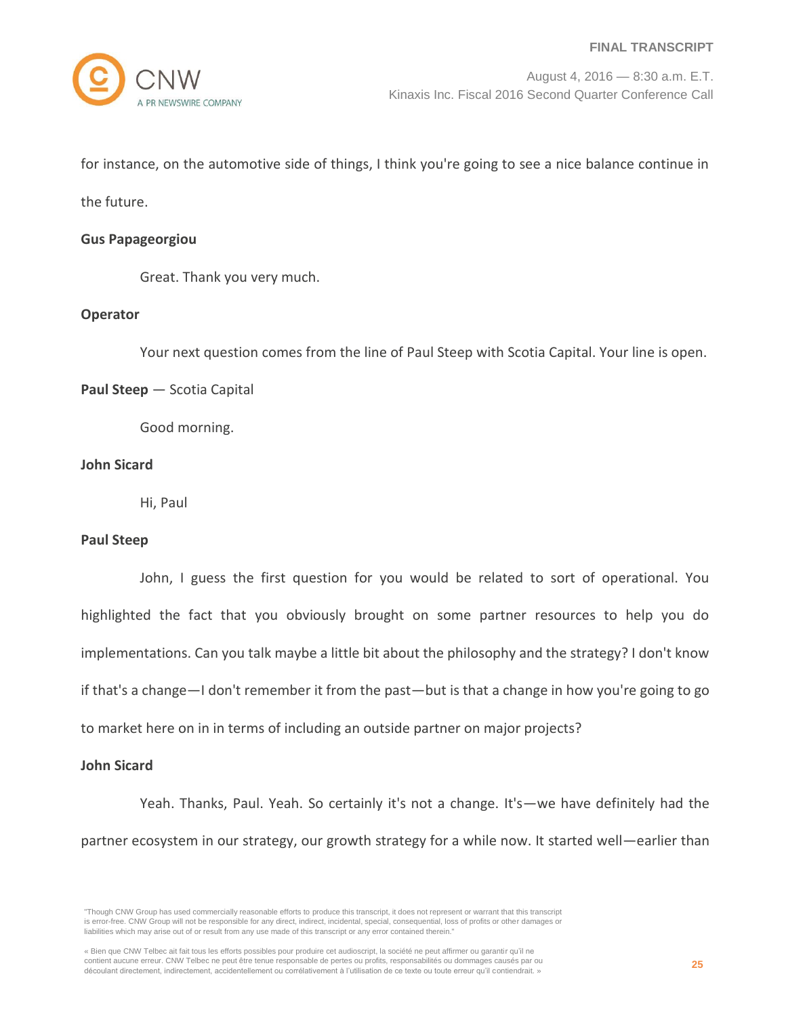for instance, on the automotive side of things, I think you're going to see a nice balance continue in

the future.

## **Gus Papageorgiou**

Great. Thank you very much.

# **Operator**

Your next question comes from the line of Paul Steep with Scotia Capital. Your line is open.

# **Paul Steep** — Scotia Capital

Good morning.

## **John Sicard**

Hi, Paul

## **Paul Steep**

John, I guess the first question for you would be related to sort of operational. You highlighted the fact that you obviously brought on some partner resources to help you do implementations. Can you talk maybe a little bit about the philosophy and the strategy? I don't know if that's a change—I don't remember it from the past—but is that a change in how you're going to go to market here on in in terms of including an outside partner on major projects?

## **John Sicard**

Yeah. Thanks, Paul. Yeah. So certainly it's not a change. It's—we have definitely had the partner ecosystem in our strategy, our growth strategy for a while now. It started well—earlier than

<sup>&</sup>quot;Though CNW Group has used commercially reasonable efforts to produce this transcript, it does not represent or warrant that this transcript is error-free. CNW Group will not be responsible for any direct, indirect, incidental, special, consequential, loss of profits or other damages or liabilities which may arise out of or result from any use made of this transcript or any error contained therein."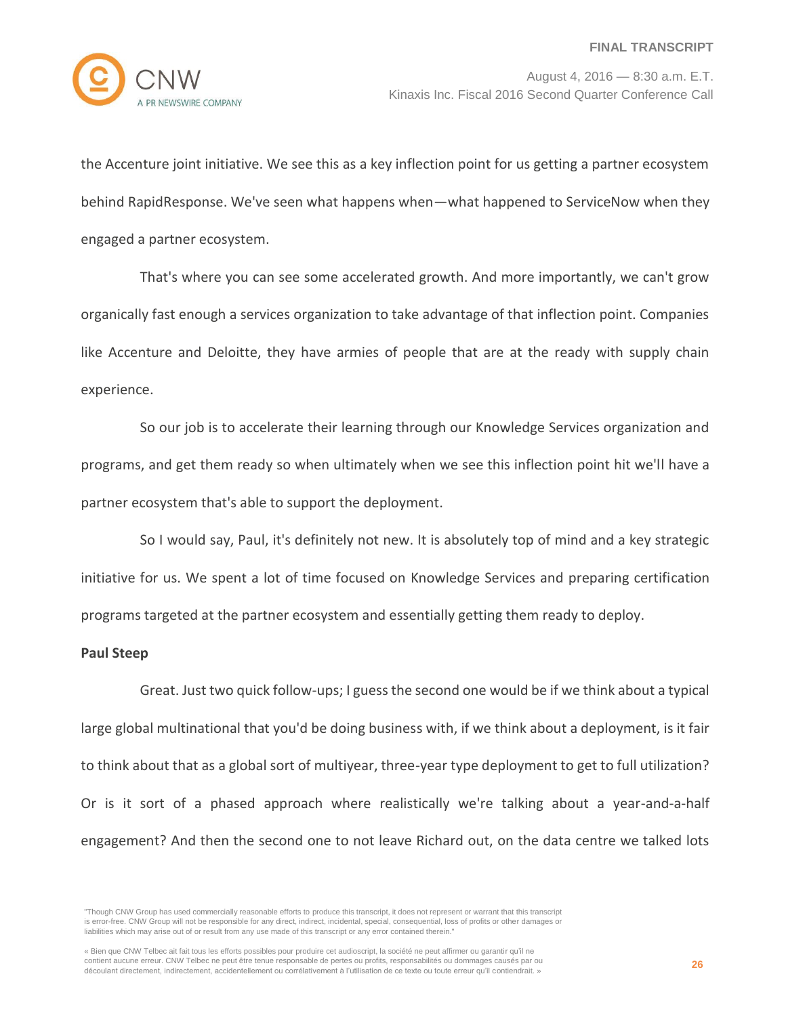

the Accenture joint initiative. We see this as a key inflection point for us getting a partner ecosystem behind RapidResponse. We've seen what happens when—what happened to ServiceNow when they engaged a partner ecosystem.

That's where you can see some accelerated growth. And more importantly, we can't grow organically fast enough a services organization to take advantage of that inflection point. Companies like Accenture and Deloitte, they have armies of people that are at the ready with supply chain experience.

So our job is to accelerate their learning through our Knowledge Services organization and programs, and get them ready so when ultimately when we see this inflection point hit we'll have a partner ecosystem that's able to support the deployment.

So I would say, Paul, it's definitely not new. It is absolutely top of mind and a key strategic initiative for us. We spent a lot of time focused on Knowledge Services and preparing certification programs targeted at the partner ecosystem and essentially getting them ready to deploy.

## **Paul Steep**

Great. Just two quick follow-ups; I guess the second one would be if we think about a typical large global multinational that you'd be doing business with, if we think about a deployment, is it fair to think about that as a global sort of multiyear, three-year type deployment to get to full utilization? Or is it sort of a phased approach where realistically we're talking about a year-and-a-half engagement? And then the second one to not leave Richard out, on the data centre we talked lots

<sup>&</sup>quot;Though CNW Group has used commercially reasonable efforts to produce this transcript, it does not represent or warrant that this transcript is error-free. CNW Group will not be responsible for any direct, indirect, incidental, special, consequential, loss of profits or other damages or liabilities which may arise out of or result from any use made of this transcript or any error contained therein."

<sup>«</sup> Bien que CNW Telbec ait fait tous les efforts possibles pour produire cet audioscript, la société ne peut affirmer ou garantir qu'il ne contient aucune erreur. CNW Telbec ne peut être tenue responsable de pertes ou profits, responsabilités ou dommages causés par ou découlant directement, indirectement, accidentellement ou corrélativement à l'utilisation de ce texte ou toute erreur qu'il contiendrait. »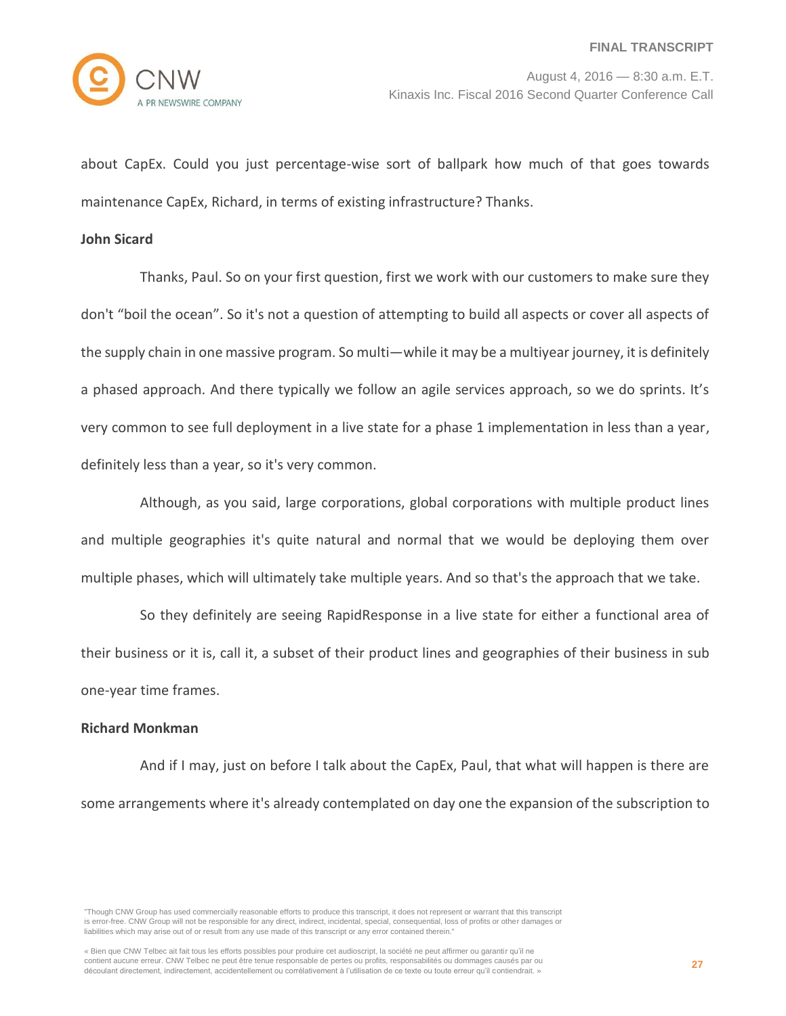

about CapEx. Could you just percentage-wise sort of ballpark how much of that goes towards maintenance CapEx, Richard, in terms of existing infrastructure? Thanks.

#### **John Sicard**

Thanks, Paul. So on your first question, first we work with our customers to make sure they don't "boil the ocean". So it's not a question of attempting to build all aspects or cover all aspects of the supply chain in one massive program. So multi—while it may be a multiyear journey, it is definitely a phased approach. And there typically we follow an agile services approach, so we do sprints. It's very common to see full deployment in a live state for a phase 1 implementation in less than a year, definitely less than a year, so it's very common.

Although, as you said, large corporations, global corporations with multiple product lines and multiple geographies it's quite natural and normal that we would be deploying them over multiple phases, which will ultimately take multiple years. And so that's the approach that we take.

So they definitely are seeing RapidResponse in a live state for either a functional area of their business or it is, call it, a subset of their product lines and geographies of their business in sub one-year time frames.

## **Richard Monkman**

And if I may, just on before I talk about the CapEx, Paul, that what will happen is there are some arrangements where it's already contemplated on day one the expansion of the subscription to

"Though CNW Group has used commercially reasonable efforts to produce this transcript, it does not represent or warrant that this transcript is error-free. CNW Group will not be responsible for any direct, indirect, incidental, special, consequential, loss of profits or other damages or liabilities which may arise out of or result from any use made of this transcript or any error contained therein."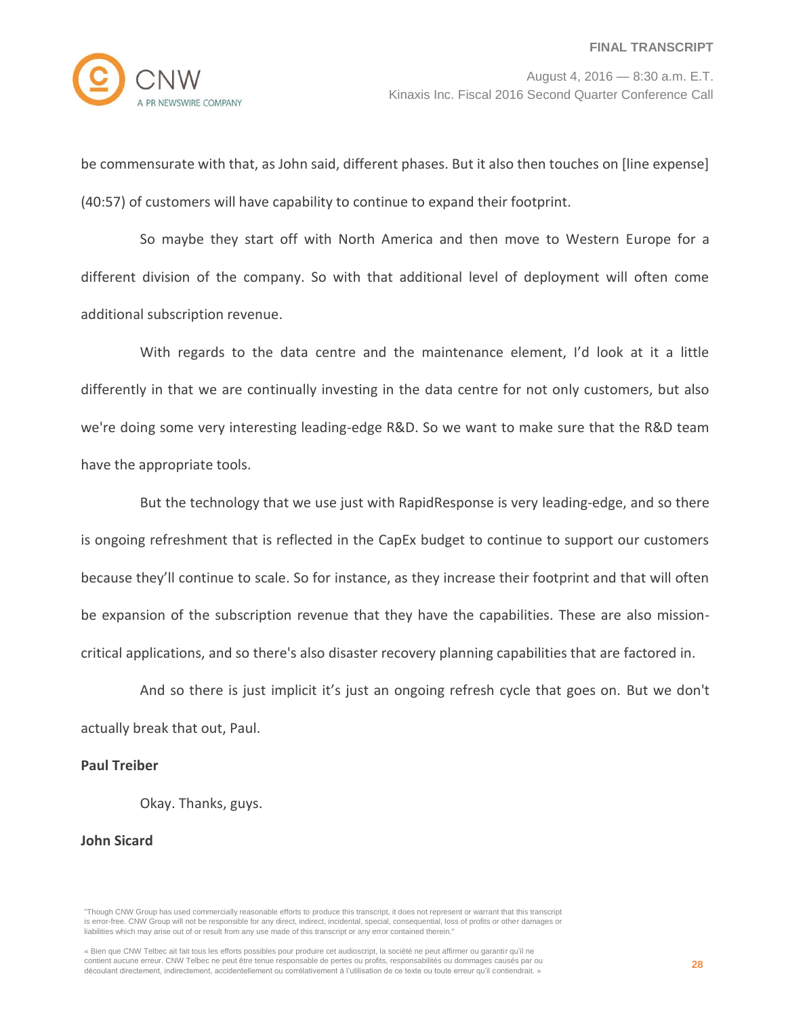

be commensurate with that, as John said, different phases. But it also then touches on [line expense] (40:57) of customers will have capability to continue to expand their footprint.

So maybe they start off with North America and then move to Western Europe for a different division of the company. So with that additional level of deployment will often come additional subscription revenue.

With regards to the data centre and the maintenance element, I'd look at it a little differently in that we are continually investing in the data centre for not only customers, but also we're doing some very interesting leading-edge R&D. So we want to make sure that the R&D team have the appropriate tools.

But the technology that we use just with RapidResponse is very leading-edge, and so there is ongoing refreshment that is reflected in the CapEx budget to continue to support our customers because they'll continue to scale. So for instance, as they increase their footprint and that will often be expansion of the subscription revenue that they have the capabilities. These are also missioncritical applications, and so there's also disaster recovery planning capabilities that are factored in.

And so there is just implicit it's just an ongoing refresh cycle that goes on. But we don't actually break that out, Paul.

# **Paul Treiber**

Okay. Thanks, guys.

## **John Sicard**

"Though CNW Group has used commercially reasonable efforts to produce this transcript, it does not represent or warrant that this transcript is error-free. CNW Group will not be responsible for any direct, indirect, incidental, special, consequential, loss of profits or other damages or liabilities which may arise out of or result from any use made of this transcript or any error contained therein."

« Bien que CNW Telbec ait fait tous les efforts possibles pour produire cet audioscript, la société ne peut affirmer ou garantir qu'il ne contient aucune erreur. CNW Telbec ne peut être tenue responsable de pertes ou profits, responsabilités ou dommages causés par ou découlant directement, indirectement, accidentellement ou corrélativement à l'utilisation de ce texte ou toute erreur qu'il contiendrait. »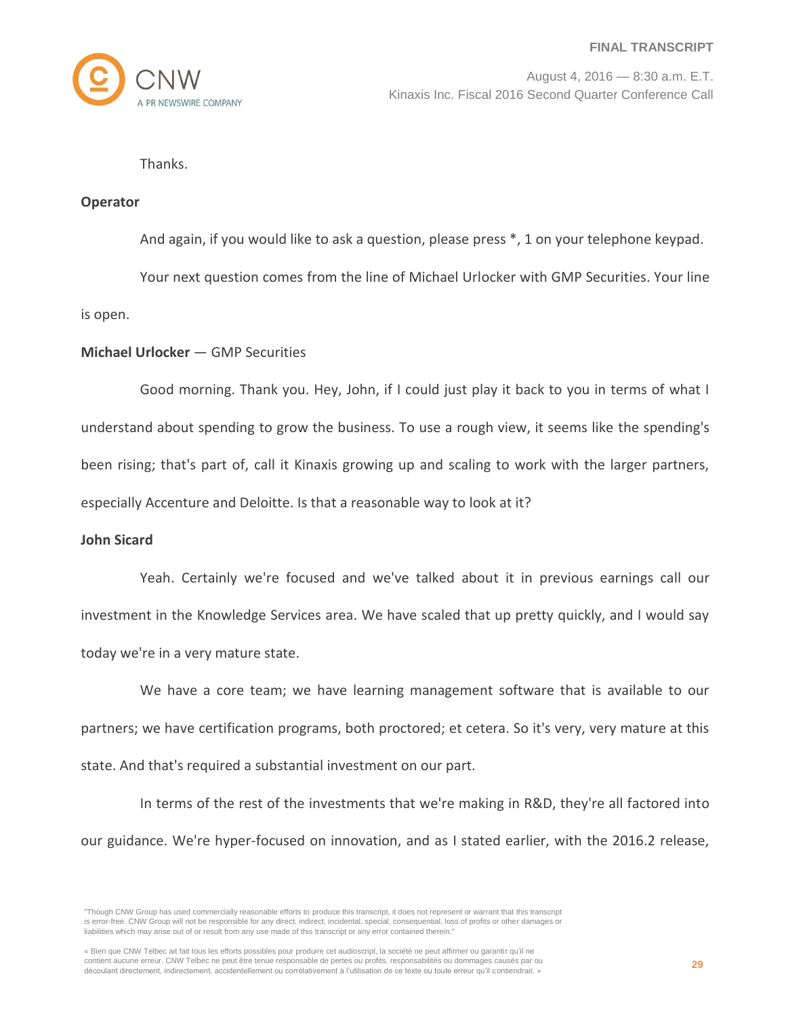

Thanks.

#### **Operator**

And again, if you would like to ask a question, please press \*, 1 on your telephone keypad.

Your next question comes from the line of Michael Urlocker with GMP Securities. Your line

is open.

#### **Michael Urlocker** — GMP Securities

Good morning. Thank you. Hey, John, if I could just play it back to you in terms of what I understand about spending to grow the business. To use a rough view, it seems like the spending's been rising; that's part of, call it Kinaxis growing up and scaling to work with the larger partners, especially Accenture and Deloitte. Is that a reasonable way to look at it?

#### **John Sicard**

Yeah. Certainly we're focused and we've talked about it in previous earnings call our investment in the Knowledge Services area. We have scaled that up pretty quickly, and I would say today we're in a very mature state.

We have a core team; we have learning management software that is available to our partners; we have certification programs, both proctored; et cetera. So it's very, very mature at this state. And that's required a substantial investment on our part.

In terms of the rest of the investments that we're making in R&D, they're all factored into our guidance. We're hyper-focused on innovation, and as I stated earlier, with the 2016.2 release,

<sup>&</sup>quot;Though CNW Group has used commercially reasonable efforts to produce this transcript, it does not represent or warrant that this transcript is error-free. CNW Group will not be responsible for any direct, indirect, incidental, special, consequential, loss of profits or other damages or liabilities which may arise out of or result from any use made of this transcript or any error contained therein."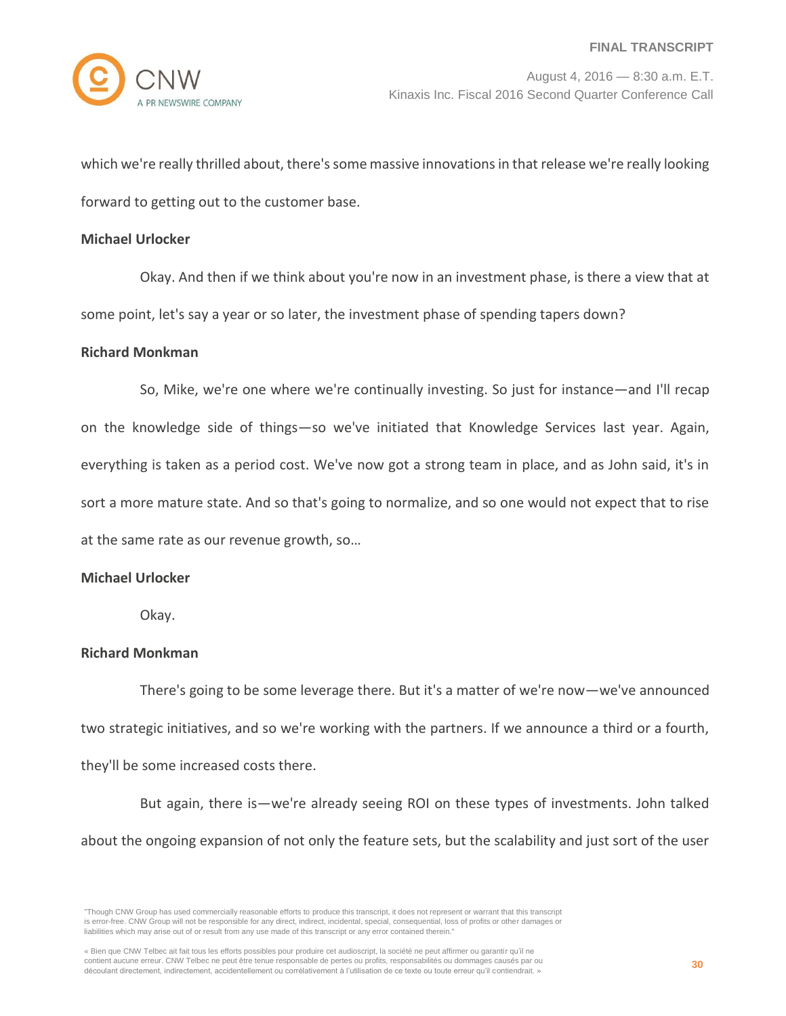which we're really thrilled about, there's some massive innovations in that release we're really looking forward to getting out to the customer base.

#### **Michael Urlocker**

Okay. And then if we think about you're now in an investment phase, is there a view that at some point, let's say a year or so later, the investment phase of spending tapers down?

#### **Richard Monkman**

So, Mike, we're one where we're continually investing. So just for instance—and I'll recap on the knowledge side of things—so we've initiated that Knowledge Services last year. Again, everything is taken as a period cost. We've now got a strong team in place, and as John said, it's in sort a more mature state. And so that's going to normalize, and so one would not expect that to rise at the same rate as our revenue growth, so…

#### **Michael Urlocker**

Okay.

## **Richard Monkman**

There's going to be some leverage there. But it's a matter of we're now—we've announced two strategic initiatives, and so we're working with the partners. If we announce a third or a fourth, they'll be some increased costs there.

But again, there is—we're already seeing ROI on these types of investments. John talked about the ongoing expansion of not only the feature sets, but the scalability and just sort of the user

<sup>&</sup>quot;Though CNW Group has used commercially reasonable efforts to produce this transcript, it does not represent or warrant that this transcript is error-free. CNW Group will not be responsible for any direct, indirect, incidental, special, consequential, loss of profits or other damages or liabilities which may arise out of or result from any use made of this transcript or any error contained therein."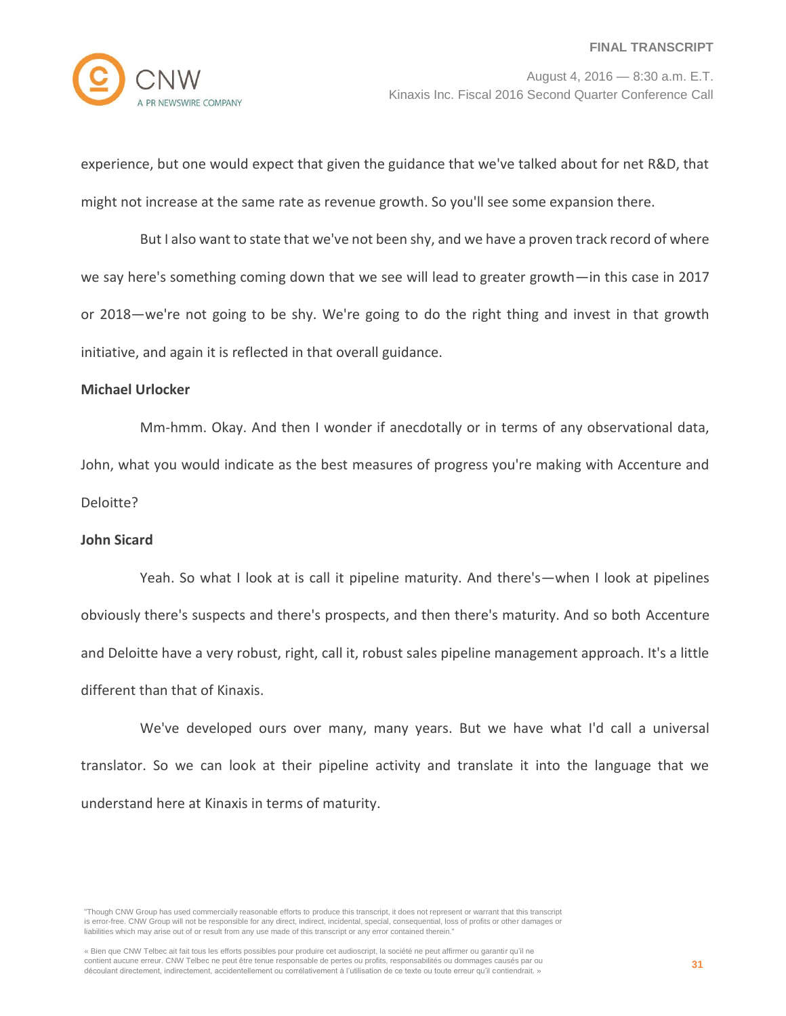

experience, but one would expect that given the guidance that we've talked about for net R&D, that might not increase at the same rate as revenue growth. So you'll see some expansion there.

But I also want to state that we've not been shy, and we have a proven track record of where we say here's something coming down that we see will lead to greater growth—in this case in 2017 or 2018—we're not going to be shy. We're going to do the right thing and invest in that growth initiative, and again it is reflected in that overall guidance.

#### **Michael Urlocker**

Mm-hmm. Okay. And then I wonder if anecdotally or in terms of any observational data, John, what you would indicate as the best measures of progress you're making with Accenture and Deloitte?

## **John Sicard**

Yeah. So what I look at is call it pipeline maturity. And there's—when I look at pipelines obviously there's suspects and there's prospects, and then there's maturity. And so both Accenture and Deloitte have a very robust, right, call it, robust sales pipeline management approach. It's a little different than that of Kinaxis.

We've developed ours over many, many years. But we have what I'd call a universal translator. So we can look at their pipeline activity and translate it into the language that we understand here at Kinaxis in terms of maturity.

<sup>&</sup>quot;Though CNW Group has used commercially reasonable efforts to produce this transcript, it does not represent or warrant that this transcript is error-free. CNW Group will not be responsible for any direct, indirect, incidental, special, consequential, loss of profits or other damages or liabilities which may arise out of or result from any use made of this transcript or any error contained therein."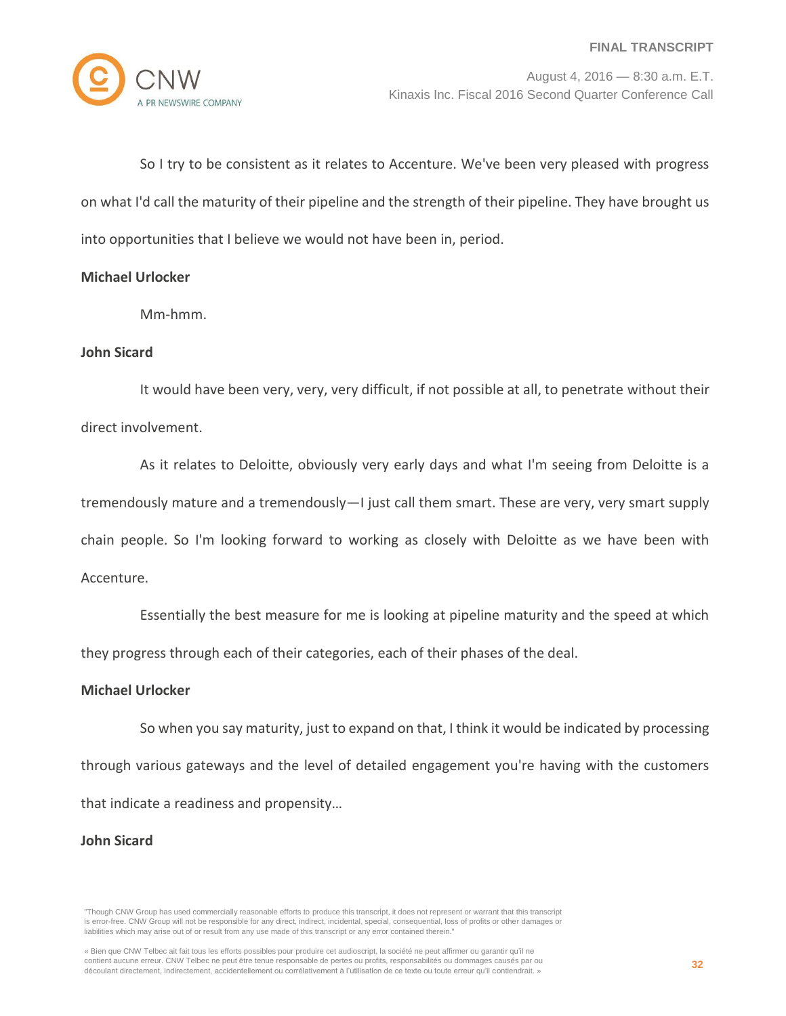

So I try to be consistent as it relates to Accenture. We've been very pleased with progress on what I'd call the maturity of their pipeline and the strength of their pipeline. They have brought us into opportunities that I believe we would not have been in, period.

# **Michael Urlocker**

Mm-hmm.

# **John Sicard**

It would have been very, very, very difficult, if not possible at all, to penetrate without their direct involvement.

As it relates to Deloitte, obviously very early days and what I'm seeing from Deloitte is a tremendously mature and a tremendously—I just call them smart. These are very, very smart supply chain people. So I'm looking forward to working as closely with Deloitte as we have been with Accenture.

Essentially the best measure for me is looking at pipeline maturity and the speed at which they progress through each of their categories, each of their phases of the deal.

# **Michael Urlocker**

So when you say maturity, just to expand on that, I think it would be indicated by processing through various gateways and the level of detailed engagement you're having with the customers that indicate a readiness and propensity…

## **John Sicard**

<sup>&</sup>quot;Though CNW Group has used commercially reasonable efforts to produce this transcript, it does not represent or warrant that this transcript is error-free. CNW Group will not be responsible for any direct, indirect, incidental, special, consequential, loss of profits or other damages or liabilities which may arise out of or result from any use made of this transcript or any error contained therein."

<sup>«</sup> Bien que CNW Telbec ait fait tous les efforts possibles pour produire cet audioscript, la société ne peut affirmer ou garantir qu'il ne contient aucune erreur. CNW Telbec ne peut être tenue responsable de pertes ou profits, responsabilités ou dommages causés par ou découlant directement, indirectement, accidentellement ou corrélativement à l'utilisation de ce texte ou toute erreur qu'il contiendrait. »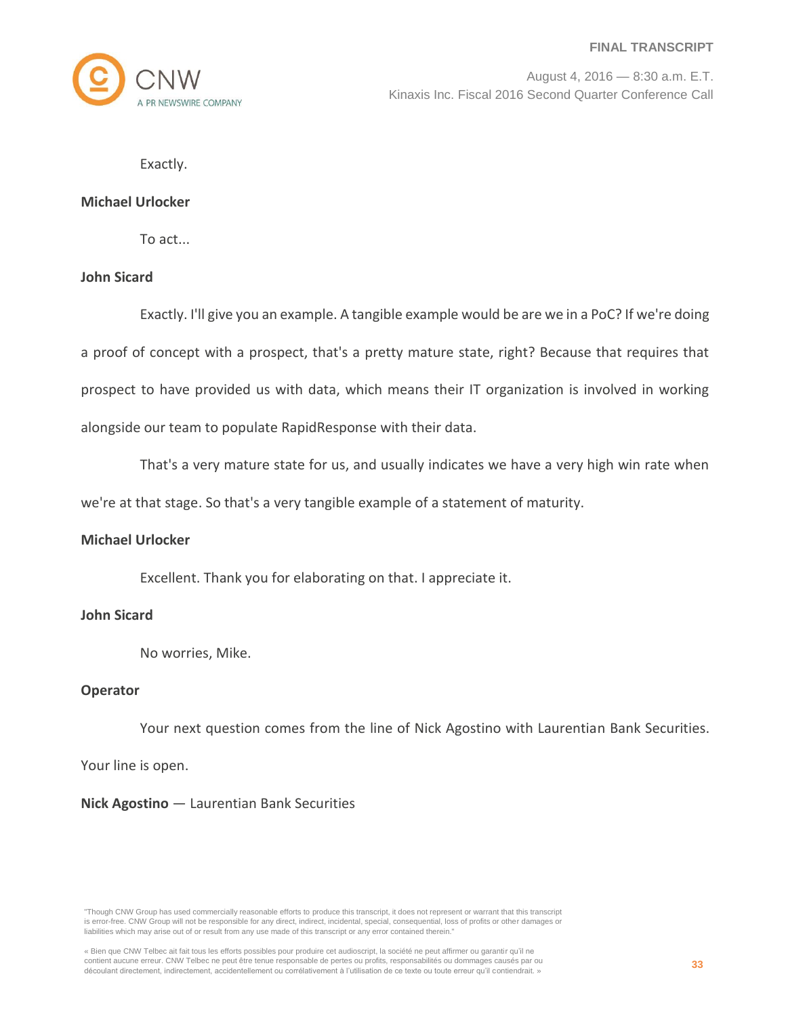

Exactly.

#### **Michael Urlocker**

To act...

# **John Sicard**

Exactly. I'll give you an example. A tangible example would be are we in a PoC? If we're doing a proof of concept with a prospect, that's a pretty mature state, right? Because that requires that prospect to have provided us with data, which means their IT organization is involved in working alongside our team to populate RapidResponse with their data.

That's a very mature state for us, and usually indicates we have a very high win rate when we're at that stage. So that's a very tangible example of a statement of maturity.

# **Michael Urlocker**

Excellent. Thank you for elaborating on that. I appreciate it.

## **John Sicard**

No worries, Mike.

## **Operator**

Your next question comes from the line of Nick Agostino with Laurentian Bank Securities.

Your line is open.

## **Nick Agostino** — Laurentian Bank Securities

"Though CNW Group has used commercially reasonable efforts to produce this transcript, it does not represent or warrant that this transcript is error-free. CNW Group will not be responsible for any direct, indirect, incidental, special, consequential, loss of profits or other damages or liabilities which may arise out of or result from any use made of this transcript or any error contained therein."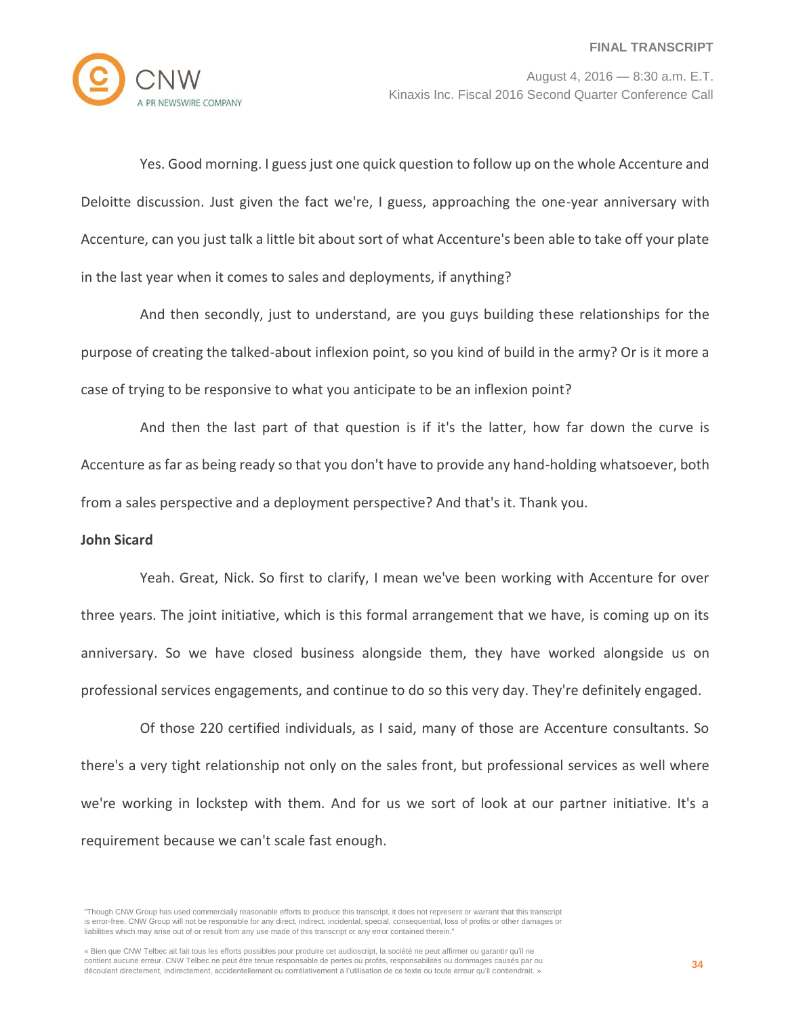

Yes. Good morning. I guess just one quick question to follow up on the whole Accenture and Deloitte discussion. Just given the fact we're, I guess, approaching the one-year anniversary with Accenture, can you just talk a little bit about sort of what Accenture's been able to take off your plate in the last year when it comes to sales and deployments, if anything?

And then secondly, just to understand, are you guys building these relationships for the purpose of creating the talked-about inflexion point, so you kind of build in the army? Or is it more a case of trying to be responsive to what you anticipate to be an inflexion point?

And then the last part of that question is if it's the latter, how far down the curve is Accenture as far as being ready so that you don't have to provide any hand-holding whatsoever, both from a sales perspective and a deployment perspective? And that's it. Thank you.

#### **John Sicard**

Yeah. Great, Nick. So first to clarify, I mean we've been working with Accenture for over three years. The joint initiative, which is this formal arrangement that we have, is coming up on its anniversary. So we have closed business alongside them, they have worked alongside us on professional services engagements, and continue to do so this very day. They're definitely engaged.

Of those 220 certified individuals, as I said, many of those are Accenture consultants. So there's a very tight relationship not only on the sales front, but professional services as well where we're working in lockstep with them. And for us we sort of look at our partner initiative. It's a requirement because we can't scale fast enough.

<sup>&</sup>quot;Though CNW Group has used commercially reasonable efforts to produce this transcript, it does not represent or warrant that this transcript is error-free. CNW Group will not be responsible for any direct, indirect, incidental, special, consequential, loss of profits or other damages or liabilities which may arise out of or result from any use made of this transcript or any error contained therein."

<sup>«</sup> Bien que CNW Telbec ait fait tous les efforts possibles pour produire cet audioscript, la société ne peut affirmer ou garantir qu'il ne contient aucune erreur. CNW Telbec ne peut être tenue responsable de pertes ou profits, responsabilités ou dommages causés par ou découlant directement, indirectement, accidentellement ou corrélativement à l'utilisation de ce texte ou toute erreur qu'il contiendrait. »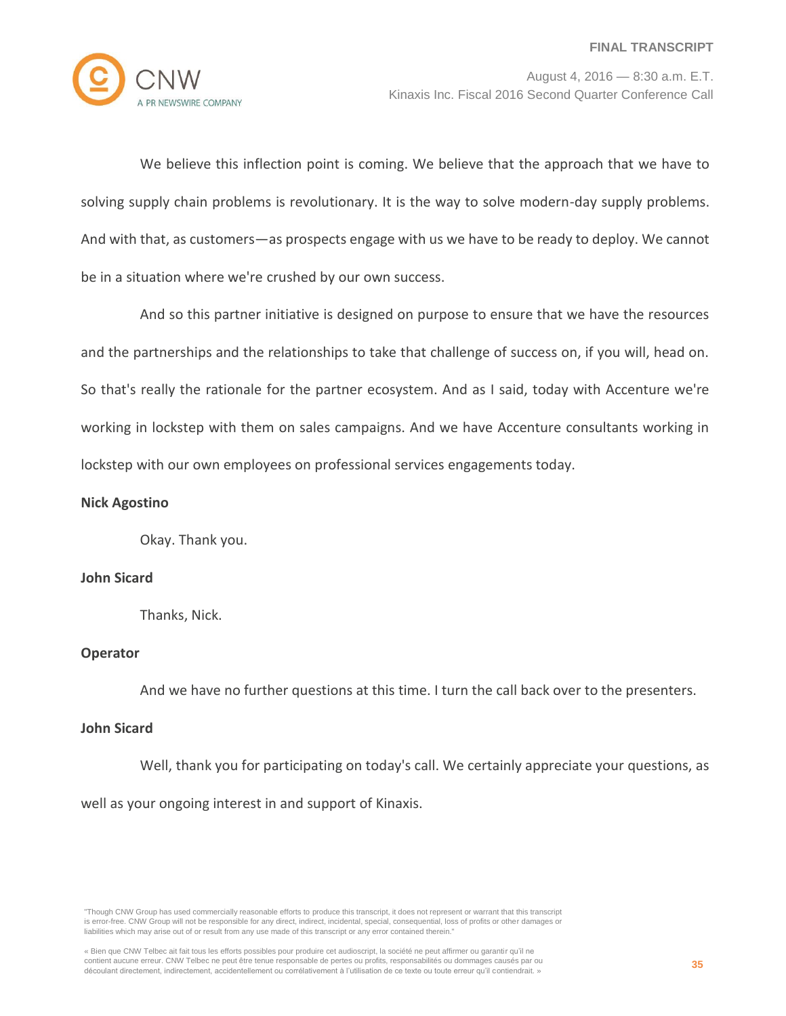

We believe this inflection point is coming. We believe that the approach that we have to solving supply chain problems is revolutionary. It is the way to solve modern-day supply problems. And with that, as customers—as prospects engage with us we have to be ready to deploy. We cannot be in a situation where we're crushed by our own success.

And so this partner initiative is designed on purpose to ensure that we have the resources and the partnerships and the relationships to take that challenge of success on, if you will, head on. So that's really the rationale for the partner ecosystem. And as I said, today with Accenture we're working in lockstep with them on sales campaigns. And we have Accenture consultants working in lockstep with our own employees on professional services engagements today.

# **Nick Agostino**

Okay. Thank you.

## **John Sicard**

Thanks, Nick.

# **Operator**

And we have no further questions at this time. I turn the call back over to the presenters.

# **John Sicard**

Well, thank you for participating on today's call. We certainly appreciate your questions, as well as your ongoing interest in and support of Kinaxis.

"Though CNW Group has used commercially reasonable efforts to produce this transcript, it does not represent or warrant that this transcript is error-free. CNW Group will not be responsible for any direct, indirect, incidental, special, consequential, loss of profits or other damages or liabilities which may arise out of or result from any use made of this transcript or any error contained therein."